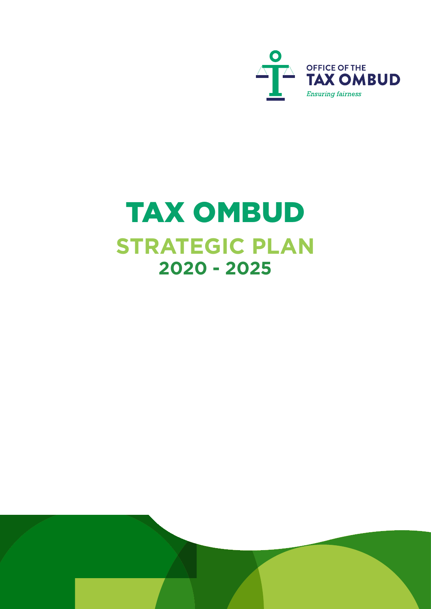

## **STRATEGIC PLAN** TAX OMBUD **2020 - 2025**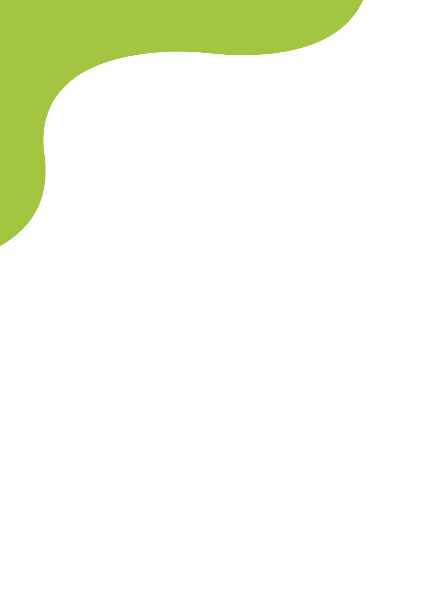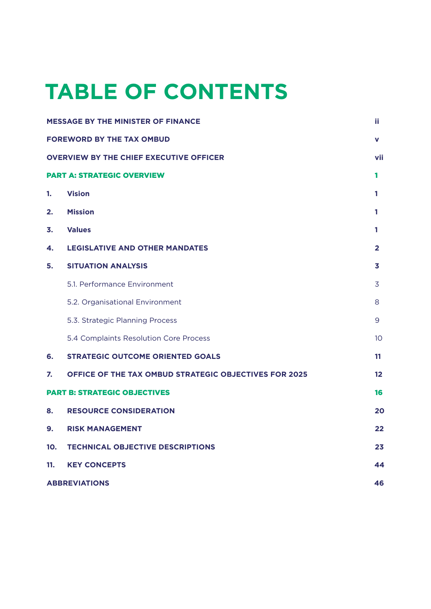## **TABLE OF CONTENTS**

|     | <b>MESSAGE BY THE MINISTER OF FINANCE</b><br>ii.      |                 |  |  |  |  |
|-----|-------------------------------------------------------|-----------------|--|--|--|--|
|     | <b>FOREWORD BY THE TAX OMBUD</b><br>v                 |                 |  |  |  |  |
|     | <b>OVERVIEW BY THE CHIEF EXECUTIVE OFFICER</b>        | vii             |  |  |  |  |
|     | <b>PART A: STRATEGIC OVERVIEW</b>                     | т               |  |  |  |  |
| 1.  | <b>Vision</b>                                         | 1               |  |  |  |  |
| 2.  | <b>Mission</b>                                        | 1               |  |  |  |  |
| 3.  | <b>Values</b>                                         | 1               |  |  |  |  |
| 4.  | <b>LEGISLATIVE AND OTHER MANDATES</b>                 | $\mathbf{2}$    |  |  |  |  |
| 5.  | <b>SITUATION ANALYSIS</b>                             | 3               |  |  |  |  |
|     | 5.1. Performance Environment                          | 3               |  |  |  |  |
|     | 5.2. Organisational Environment                       | 8               |  |  |  |  |
|     | 5.3. Strategic Planning Process                       | 9               |  |  |  |  |
|     | 5.4 Complaints Resolution Core Process                | 10 <sup>°</sup> |  |  |  |  |
| 6.  | <b>STRATEGIC OUTCOME ORIENTED GOALS</b>               | 11              |  |  |  |  |
| 7.  | OFFICE OF THE TAX OMBUD STRATEGIC OBJECTIVES FOR 2025 | $12 \,$         |  |  |  |  |
|     | <b>PART B: STRATEGIC OBJECTIVES</b>                   | 16              |  |  |  |  |
| 8.  | <b>RESOURCE CONSIDERATION</b>                         | 20              |  |  |  |  |
| 9.  | <b>RISK MANAGEMENT</b>                                | 22              |  |  |  |  |
| 10. | <b>TECHNICAL OBJECTIVE DESCRIPTIONS</b>               | 23              |  |  |  |  |
| 11. | <b>KEY CONCEPTS</b>                                   | 44              |  |  |  |  |
|     | <b>ABBREVIATIONS</b><br>46                            |                 |  |  |  |  |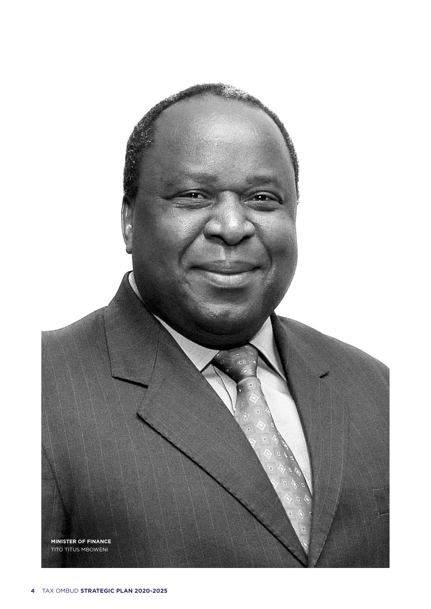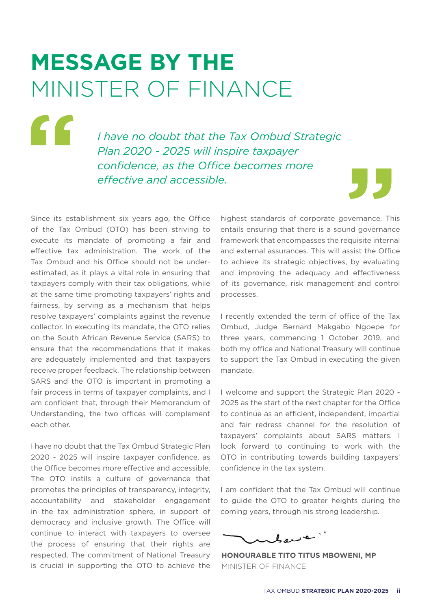## **MESSAGE BY THE**  MINISTER OF FINANCE

*I have no doubt that the Tax Ombud Strategic Plan 2020 - 2025 will inspire taxpayer confidence, as the Office becomes more effective and accessible.*



Since its establishment six years ago, the Office of the Tax Ombud (OTO) has been striving to execute its mandate of promoting a fair and effective tax administration. The work of the Tax Ombud and his Office should not be underestimated, as it plays a vital role in ensuring that taxpayers comply with their tax obligations, while at the same time promoting taxpayers' rights and fairness, by serving as a mechanism that helps resolve taxpayers' complaints against the revenue collector. In executing its mandate, the OTO relies on the South African Revenue Service (SARS) to ensure that the recommendations that it makes are adequately implemented and that taxpayers receive proper feedback. The relationship between SARS and the OTO is important in promoting a fair process in terms of taxpayer complaints, and I am confident that, through their Memorandum of Understanding, the two offices will complement each other.

"

I have no doubt that the Tax Ombud Strategic Plan 2020 - 2025 will inspire taxpayer confidence, as the Office becomes more effective and accessible. The OTO instils a culture of governance that promotes the principles of transparency, integrity, accountability and stakeholder engagement in the tax administration sphere, in support of democracy and inclusive growth. The Office will continue to interact with taxpayers to oversee the process of ensuring that their rights are respected. The commitment of National Treasury is crucial in supporting the OTO to achieve the

highest standards of corporate governance. This entails ensuring that there is a sound governance framework that encompasses the requisite internal and external assurances. This will assist the Office to achieve its strategic objectives, by evaluating and improving the adequacy and effectiveness of its governance, risk management and control processes.

I recently extended the term of office of the Tax Ombud, Judge Bernard Makgabo Ngoepe for three years, commencing 1 October 2019, and both my office and National Treasury will continue to support the Tax Ombud in executing the given mandate.

I welcome and support the Strategic Plan 2020 - 2025 as the start of the next chapter for the Office to continue as an efficient, independent, impartial and fair redress channel for the resolution of taxpayers' complaints about SARS matters. I look forward to continuing to work with the OTO in contributing towards building taxpayers' confidence in the tax system.

I am confident that the Tax Ombud will continue to guide the OTO to greater heights during the coming years, through his strong leadership.

inhere."

**HONOURABLE TITO TITUS MBOWENI, MP** MINISTER OF FINANCE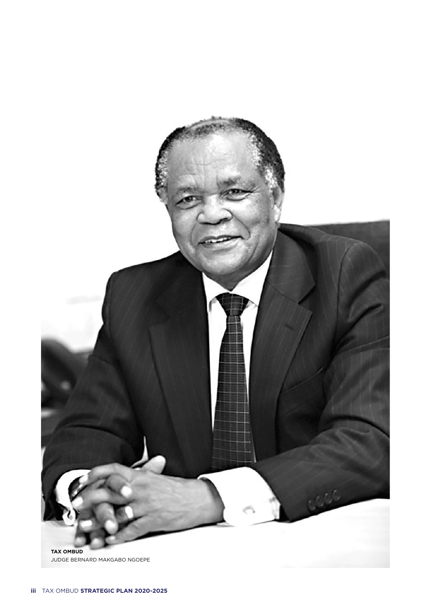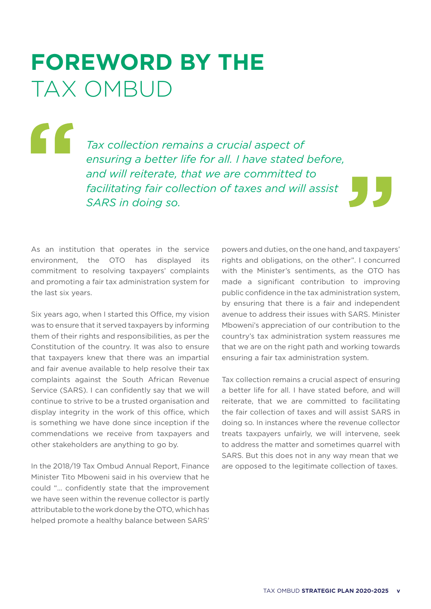## **FOREWORD BY THE**  TAX OMBUD

*Tax collection remains a crucial aspect of ensuring a better life for all. I have stated before, and will reiterate, that we are committed to facilitating fair collection of taxes and will assist SARS in doing so.* 

As an institution that operates in the service environment, the OTO has displayed its commitment to resolving taxpayers' complaints and promoting a fair tax administration system for the last six years.

 $\epsilon$ 

Six years ago, when I started this Office, my vision was to ensure that it served taxpayers by informing them of their rights and responsibilities, as per the Constitution of the country. It was also to ensure that taxpayers knew that there was an impartial and fair avenue available to help resolve their tax complaints against the South African Revenue Service (SARS). I can confidently say that we will continue to strive to be a trusted organisation and display integrity in the work of this office, which is something we have done since inception if the commendations we receive from taxpayers and other stakeholders are anything to go by.

In the 2018/19 Tax Ombud Annual Report, Finance Minister Tito Mboweni said in his overview that he could "… confidently state that the improvement we have seen within the revenue collector is partly attributable to the work done by the OTO, which has helped promote a healthy balance between SARS'

powers and duties, on the one hand, and taxpayers' rights and obligations, on the other". I concurred with the Minister's sentiments, as the OTO has made a significant contribution to improving public confidence in the tax administration system, by ensuring that there is a fair and independent avenue to address their issues with SARS. Minister Mboweni's appreciation of our contribution to the country's tax administration system reassures me that we are on the right path and working towards ensuring a fair tax administration system.

Tax collection remains a crucial aspect of ensuring a better life for all. I have stated before, and will reiterate, that we are committed to facilitating the fair collection of taxes and will assist SARS in doing so. In instances where the revenue collector treats taxpayers unfairly, we will intervene, seek to address the matter and sometimes quarrel with SARS. But this does not in any way mean that we are opposed to the legitimate collection of taxes.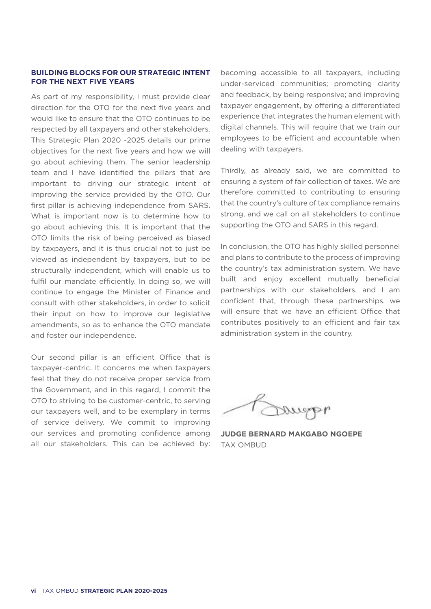#### **BUILDING BLOCKS FOR OUR STRATEGIC INTENT FOR THE NEXT FIVE YEARS**

As part of my responsibility, I must provide clear direction for the OTO for the next five years and would like to ensure that the OTO continues to be respected by all taxpayers and other stakeholders. This Strategic Plan 2020 -2025 details our prime objectives for the next five years and how we will go about achieving them. The senior leadership team and I have identified the pillars that are important to driving our strategic intent of improving the service provided by the OTO. Our first pillar is achieving independence from SARS. What is important now is to determine how to go about achieving this. It is important that the OTO limits the risk of being perceived as biased by taxpayers, and it is thus crucial not to just be viewed as independent by taxpayers, but to be structurally independent, which will enable us to fulfil our mandate efficiently. In doing so, we will continue to engage the Minister of Finance and consult with other stakeholders, in order to solicit their input on how to improve our legislative amendments, so as to enhance the OTO mandate and foster our independence.

Our second pillar is an efficient Office that is taxpayer-centric. It concerns me when taxpayers feel that they do not receive proper service from the Government, and in this regard, I commit the OTO to striving to be customer-centric, to serving our taxpayers well, and to be exemplary in terms of service delivery. We commit to improving our services and promoting confidence among all our stakeholders. This can be achieved by:

becoming accessible to all taxpayers, including under-serviced communities; promoting clarity and feedback, by being responsive; and improving taxpayer engagement, by offering a differentiated experience that integrates the human element with digital channels. This will require that we train our employees to be efficient and accountable when dealing with taxpayers.

Thirdly, as already said, we are committed to ensuring a system of fair collection of taxes. We are therefore committed to contributing to ensuring that the country's culture of tax compliance remains strong, and we call on all stakeholders to continue supporting the OTO and SARS in this regard.

In conclusion, the OTO has highly skilled personnel and plans to contribute to the process of improving the country's tax administration system. We have built and enjoy excellent mutually beneficial partnerships with our stakeholders, and I am confident that, through these partnerships, we will ensure that we have an efficient Office that contributes positively to an efficient and fair tax administration system in the country.

**JUDGE BERNARD MAKGABO NGOEPE** TAX OMBUD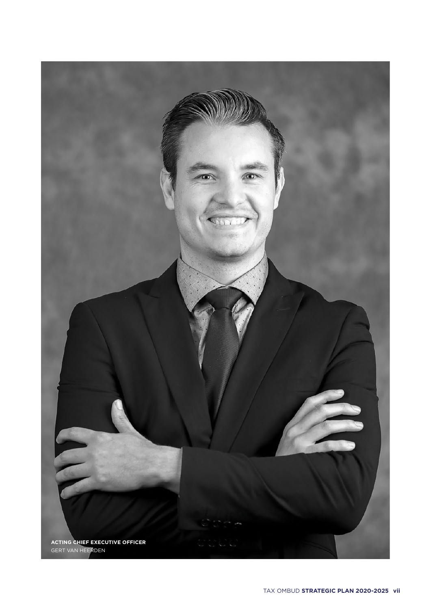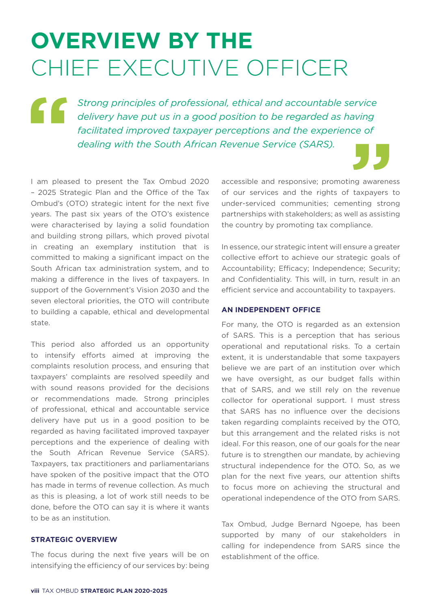## **OVERVIEW BY THE**  CHIEF EXECUTIVE OFFICER

*Strong principles of professional, ethical and accountable service delivery have put us in a good position to be regarded as having facilitated improved taxpayer perceptions and the experience of dealing with the South African Revenue Service (SARS).* 

I am pleased to present the Tax Ombud 2020 – 2025 Strategic Plan and the Office of the Tax Ombud's (OTO) strategic intent for the next five years. The past six years of the OTO's existence were characterised by laying a solid foundation and building strong pillars, which proved pivotal in creating an exemplary institution that is committed to making a significant impact on the South African tax administration system, and to making a difference in the lives of taxpayers. In support of the Government's Vision 2030 and the seven electoral priorities, the OTO will contribute to building a capable, ethical and developmental state.

This period also afforded us an opportunity to intensify efforts aimed at improving the complaints resolution process, and ensuring that taxpayers' complaints are resolved speedily and with sound reasons provided for the decisions or recommendations made. Strong principles of professional, ethical and accountable service delivery have put us in a good position to be regarded as having facilitated improved taxpayer perceptions and the experience of dealing with the South African Revenue Service (SARS). Taxpayers, tax practitioners and parliamentarians have spoken of the positive impact that the OTO has made in terms of revenue collection. As much as this is pleasing, a lot of work still needs to be done, before the OTO can say it is where it wants to be as an institution.

#### **STRATEGIC OVERVIEW**

The focus during the next five years will be on intensifying the efficiency of our services by: being

accessible and responsive; promoting awareness of our services and the rights of taxpayers to under-serviced communities; cementing strong partnerships with stakeholders; as well as assisting the country by promoting tax compliance.

In essence, our strategic intent will ensure a greater collective effort to achieve our strategic goals of Accountability; Efficacy; Independence; Security; and Confidentiality. This will, in turn, result in an efficient service and accountability to taxpayers.

#### **AN INDEPENDENT OFFICE**

For many, the OTO is regarded as an extension of SARS. This is a perception that has serious operational and reputational risks. To a certain extent, it is understandable that some taxpayers believe we are part of an institution over which we have oversight, as our budget falls within that of SARS, and we still rely on the revenue collector for operational support. I must stress that SARS has no influence over the decisions taken regarding complaints received by the OTO, but this arrangement and the related risks is not ideal. For this reason, one of our goals for the near future is to strengthen our mandate, by achieving structural independence for the OTO. So, as we plan for the next five years, our attention shifts to focus more on achieving the structural and operational independence of the OTO from SARS.

Tax Ombud, Judge Bernard Ngoepe, has been supported by many of our stakeholders in calling for independence from SARS since the establishment of the office.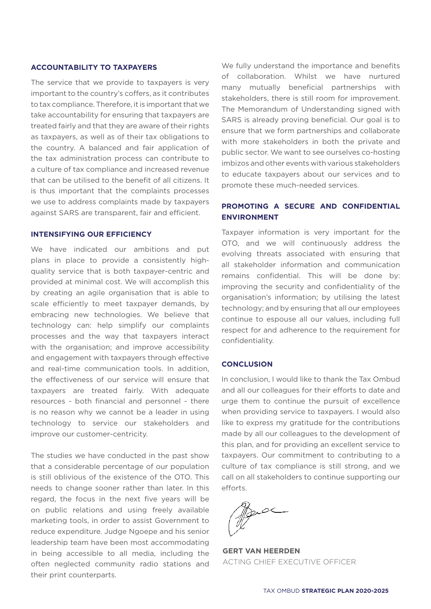#### **ACCOUNTABILITY TO TAXPAYERS**

The service that we provide to taxpayers is very important to the country's coffers, as it contributes to tax compliance. Therefore, it is important that we take accountability for ensuring that taxpayers are treated fairly and that they are aware of their rights as taxpayers, as well as of their tax obligations to the country. A balanced and fair application of the tax administration process can contribute to a culture of tax compliance and increased revenue that can be utilised to the benefit of all citizens. It is thus important that the complaints processes we use to address complaints made by taxpayers against SARS are transparent, fair and efficient.

#### **INTENSIFYING OUR EFFICIENCY**

We have indicated our ambitions and put plans in place to provide a consistently highquality service that is both taxpayer-centric and provided at minimal cost. We will accomplish this by creating an agile organisation that is able to scale efficiently to meet taxpayer demands, by embracing new technologies. We believe that technology can: help simplify our complaints processes and the way that taxpayers interact with the organisation; and improve accessibility and engagement with taxpayers through effective and real-time communication tools. In addition, the effectiveness of our service will ensure that taxpayers are treated fairly. With adequate resources - both financial and personnel - there is no reason why we cannot be a leader in using technology to service our stakeholders and improve our customer-centricity.

The studies we have conducted in the past show that a considerable percentage of our population is still oblivious of the existence of the OTO. This needs to change sooner rather than later. In this regard, the focus in the next five years will be on public relations and using freely available marketing tools, in order to assist Government to reduce expenditure. Judge Ngoepe and his senior leadership team have been most accommodating in being accessible to all media, including the often neglected community radio stations and their print counterparts.

We fully understand the importance and benefits of collaboration. Whilst we have nurtured many mutually beneficial partnerships with stakeholders, there is still room for improvement. The Memorandum of Understanding signed with SARS is already proving beneficial. Our goal is to ensure that we form partnerships and collaborate with more stakeholders in both the private and public sector. We want to see ourselves co-hosting imbizos and other events with various stakeholders to educate taxpayers about our services and to promote these much-needed services.

#### **PROMOTING A SECURE AND CONFIDENTIAL ENVIRONMENT**

Taxpayer information is very important for the OTO, and we will continuously address the evolving threats associated with ensuring that all stakeholder information and communication remains confidential. This will be done by: improving the security and confidentiality of the organisation's information; by utilising the latest technology; and by ensuring that all our employees continue to espouse all our values, including full respect for and adherence to the requirement for confidentiality.

#### **CONCLUSION**

In conclusion, I would like to thank the Tax Ombud and all our colleagues for their efforts to date and urge them to continue the pursuit of excellence when providing service to taxpayers. I would also like to express my gratitude for the contributions made by all our colleagues to the development of this plan, and for providing an excellent service to taxpayers. Our commitment to contributing to a culture of tax compliance is still strong, and we call on all stakeholders to continue supporting our efforts.

Sauce

**GERT VAN HEERDEN** ACTING CHIEF EXECUTIVE OFFICER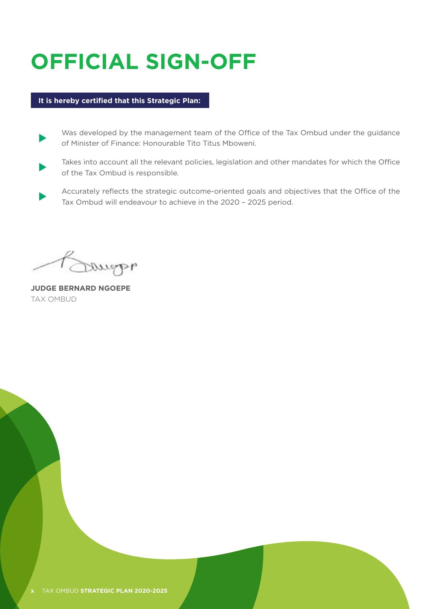## **OFFICIAL SIGN-OFF**

#### **It is hereby certified that this Strategic Plan:**

Was developed by the management team of the Office of the Tax Ombud under the guidance of Minister of Finance: Honourable Tito Titus Mboweni.

Takes into account all the relevant policies, legislation and other mandates for which the Office of the Tax Ombud is responsible.

Accurately reflects the strategic outcome-oriented goals and objectives that the Office of the Tax Ombud will endeavour to achieve in the 2020 – 2025 period.

Duypp

**JUDGE BERNARD NGOEPE** TAX OMBUD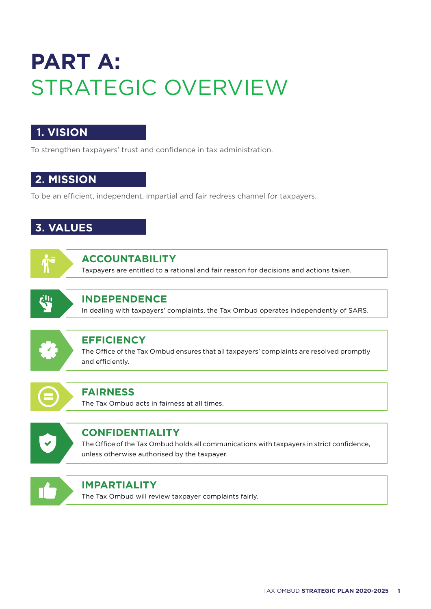## **PART A:** STRATEGIC OVERVIEW

## **1. VISION**

To strengthen taxpayers' trust and confidence in tax administration.

## **2. MISSION**

To be an efficient, independent, impartial and fair redress channel for taxpayers.

## **3. VALUES**



### **ACCOUNTABILITY**

Taxpayers are entitled to a rational and fair reason for decisions and actions taken.



### **INDEPENDENCE**

In dealing with taxpayers' complaints, the Tax Ombud operates independently of SARS.



### **EFFICIENCY**

The Office of the Tax Ombud ensures that all taxpayers' complaints are resolved promptly and efficiently.

### **FAIRNESS**

The Tax Ombud acts in fairness at all times.

## **CONFIDENTIALITY**

The Office of the Tax Ombud holds all communications with taxpayers in strict confidence, unless otherwise authorised by the taxpayer.

## **IMPARTIALITY**

The Tax Ombud will review taxpayer complaints fairly.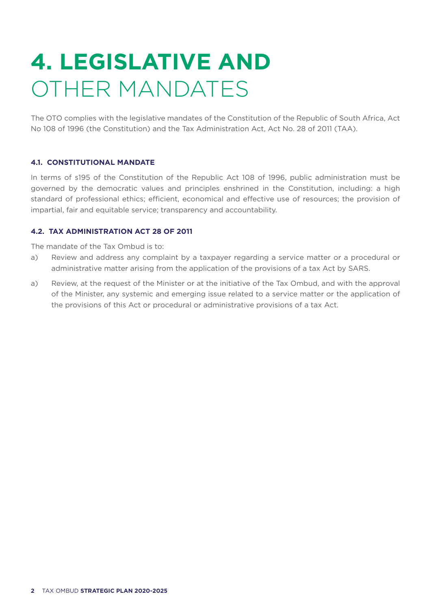## **4. LEGISLATIVE AND** OTHER MANDATES

The OTO complies with the legislative mandates of the Constitution of the Republic of South Africa, Act No 108 of 1996 (the Constitution) and the Tax Administration Act, Act No. 28 of 2011 (TAA).

#### **4.1. CONSTITUTIONAL MANDATE**

In terms of s195 of the Constitution of the Republic Act 108 of 1996, public administration must be governed by the democratic values and principles enshrined in the Constitution, including: a high standard of professional ethics; efficient, economical and effective use of resources; the provision of impartial, fair and equitable service; transparency and accountability.

#### **4.2. TAX ADMINISTRATION ACT 28 OF 2011**

The mandate of the Tax Ombud is to:

- a) Review and address any complaint by a taxpayer regarding a service matter or a procedural or administrative matter arising from the application of the provisions of a tax Act by SARS.
- a) Review, at the request of the Minister or at the initiative of the Tax Ombud, and with the approval of the Minister, any systemic and emerging issue related to a service matter or the application of the provisions of this Act or procedural or administrative provisions of a tax Act.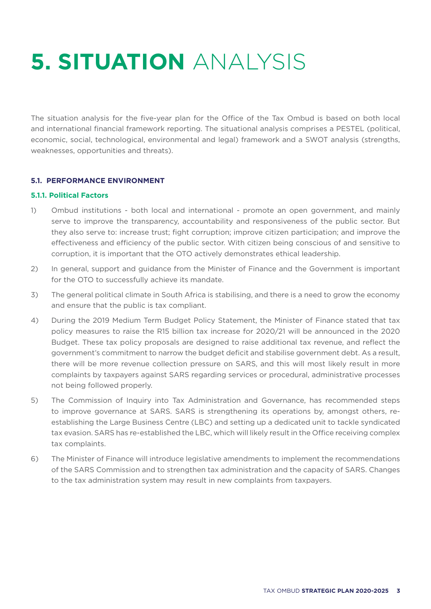## **5. SITUATION** ANALYSIS

The situation analysis for the five-year plan for the Office of the Tax Ombud is based on both local and international financial framework reporting. The situational analysis comprises a PESTEL (political, economic, social, technological, environmental and legal) framework and a SWOT analysis (strengths, weaknesses, opportunities and threats).

#### **5.1. PERFORMANCE ENVIRONMENT**

#### **5.1.1. Political Factors**

- 1) Ombud institutions both local and international promote an open government, and mainly serve to improve the transparency, accountability and responsiveness of the public sector. But they also serve to: increase trust; fight corruption; improve citizen participation; and improve the effectiveness and efficiency of the public sector. With citizen being conscious of and sensitive to corruption, it is important that the OTO actively demonstrates ethical leadership.
- 2) In general, support and guidance from the Minister of Finance and the Government is important for the OTO to successfully achieve its mandate.
- 3) The general political climate in South Africa is stabilising, and there is a need to grow the economy and ensure that the public is tax compliant.
- 4) During the 2019 Medium Term Budget Policy Statement, the Minister of Finance stated that tax policy measures to raise the R15 billion tax increase for 2020/21 will be announced in the 2020 Budget. These tax policy proposals are designed to raise additional tax revenue, and reflect the government's commitment to narrow the budget deficit and stabilise government debt. As a result, there will be more revenue collection pressure on SARS, and this will most likely result in more complaints by taxpayers against SARS regarding services or procedural, administrative processes not being followed properly.
- 5) The Commission of Inquiry into Tax Administration and Governance, has recommended steps to improve governance at SARS. SARS is strengthening its operations by, amongst others, reestablishing the Large Business Centre (LBC) and setting up a dedicated unit to tackle syndicated tax evasion. SARS has re-established the LBC, which will likely result in the Office receiving complex tax complaints.
- 6) The Minister of Finance will introduce legislative amendments to implement the recommendations of the SARS Commission and to strengthen tax administration and the capacity of SARS. Changes to the tax administration system may result in new complaints from taxpayers.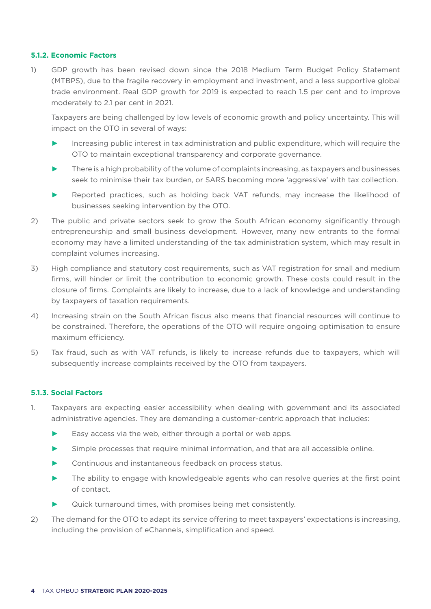#### **5.1.2. Economic Factors**

1) GDP growth has been revised down since the 2018 Medium Term Budget Policy Statement (MTBPS), due to the fragile recovery in employment and investment, and a less supportive global trade environment. Real GDP growth for 2019 is expected to reach 1.5 per cent and to improve moderately to 2.1 per cent in 2021.

Taxpayers are being challenged by low levels of economic growth and policy uncertainty. This will impact on the OTO in several of ways:

- Increasing public interest in tax administration and public expenditure, which will require the OTO to maintain exceptional transparency and corporate governance.
- There is a high probability of the volume of complaints increasing, as taxpayers and businesses seek to minimise their tax burden, or SARS becoming more 'aggressive' with tax collection.
- Reported practices, such as holding back VAT refunds, may increase the likelihood of businesses seeking intervention by the OTO.
- 2) The public and private sectors seek to grow the South African economy significantly through entrepreneurship and small business development. However, many new entrants to the formal economy may have a limited understanding of the tax administration system, which may result in complaint volumes increasing.
- 3) High compliance and statutory cost requirements, such as VAT registration for small and medium firms, will hinder or limit the contribution to economic growth. These costs could result in the closure of firms. Complaints are likely to increase, due to a lack of knowledge and understanding by taxpayers of taxation requirements.
- 4) Increasing strain on the South African fiscus also means that financial resources will continue to be constrained. Therefore, the operations of the OTO will require ongoing optimisation to ensure maximum efficiency.
- 5) Tax fraud, such as with VAT refunds, is likely to increase refunds due to taxpayers, which will subsequently increase complaints received by the OTO from taxpayers.

#### **5.1.3. Social Factors**

- 1. Taxpayers are expecting easier accessibility when dealing with government and its associated administrative agencies. They are demanding a customer-centric approach that includes:
	- ► Easy access via the web, either through a portal or web apps.
	- Simple processes that require minimal information, and that are all accessible online.
	- ► Continuous and instantaneous feedback on process status.
	- ► The ability to engage with knowledgeable agents who can resolve queries at the first point of contact.
	- Quick turnaround times, with promises being met consistently.
- 2) The demand for the OTO to adapt its service offering to meet taxpayers' expectations is increasing, including the provision of eChannels, simplification and speed.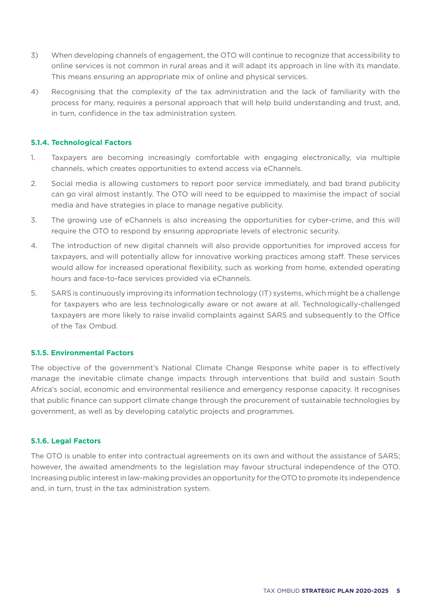- 3) When developing channels of engagement, the OTO will continue to recognize that accessibility to online services is not common in rural areas and it will adapt its approach in line with its mandate. This means ensuring an appropriate mix of online and physical services.
- 4) Recognising that the complexity of the tax administration and the lack of familiarity with the process for many, requires a personal approach that will help build understanding and trust, and, in turn, confidence in the tax administration system.

#### **5.1.4. Technological Factors**

- 1. Taxpayers are becoming increasingly comfortable with engaging electronically, via multiple channels, which creates opportunities to extend access via eChannels.
- 2. Social media is allowing customers to report poor service immediately, and bad brand publicity can go viral almost instantly. The OTO will need to be equipped to maximise the impact of social media and have strategies in place to manage negative publicity.
- 3. The growing use of eChannels is also increasing the opportunities for cyber-crime, and this will require the OTO to respond by ensuring appropriate levels of electronic security.
- 4. The introduction of new digital channels will also provide opportunities for improved access for taxpayers, and will potentially allow for innovative working practices among staff. These services would allow for increased operational flexibility, such as working from home, extended operating hours and face-to-face services provided via eChannels.
- 5. SARS is continuously improving its information technology (IT) systems, which might be a challenge for taxpayers who are less technologically aware or not aware at all. Technologically-challenged taxpayers are more likely to raise invalid complaints against SARS and subsequently to the Office of the Tax Ombud.

#### **5.1.5. Environmental Factors**

The objective of the government's National Climate Change Response white paper is to effectively manage the inevitable climate change impacts through interventions that build and sustain South Africa's social, economic and environmental resilience and emergency response capacity. It recognises that public finance can support climate change through the procurement of sustainable technologies by government, as well as by developing catalytic projects and programmes.

#### **5.1.6. Legal Factors**

The OTO is unable to enter into contractual agreements on its own and without the assistance of SARS; however, the awaited amendments to the legislation may favour structural independence of the OTO. Increasing public interest in law-making provides an opportunity for the OTO to promote its independence and, in turn, trust in the tax administration system.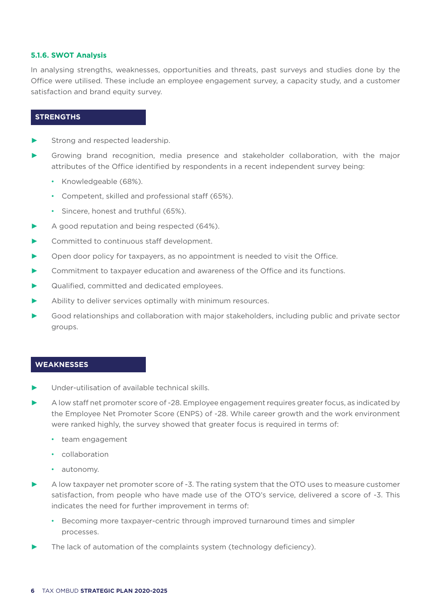#### **5.1.6. SWOT Analysis**

In analysing strengths, weaknesses, opportunities and threats, past surveys and studies done by the Office were utilised. These include an employee engagement survey, a capacity study, and a customer satisfaction and brand equity survey.

#### **STRENGTHS**

- Strong and respected leadership.
- Growing brand recognition, media presence and stakeholder collaboration, with the major attributes of the Office identified by respondents in a recent independent survey being:
	- Knowledgeable (68%).
	- Competent, skilled and professional staff (65%).
	- Sincere, honest and truthful (65%).
- A good reputation and being respected (64%).
- Committed to continuous staff development.
- ► Open door policy for taxpayers, as no appointment is needed to visit the Office.
- ► Commitment to taxpayer education and awareness of the Office and its functions.
- Qualified, committed and dedicated employees.
- Ability to deliver services optimally with minimum resources.
- Good relationships and collaboration with major stakeholders, including public and private sector groups.

#### **WEAKNESSES**

- Under-utilisation of available technical skills.
- A low staff net promoter score of -28. Employee engagement requires greater focus, as indicated by the Employee Net Promoter Score (ENPS) of -28. While career growth and the work environment were ranked highly, the survey showed that greater focus is required in terms of:
	- team engagement
	- collaboration
	- autonomy.
- A low taxpayer net promoter score of -3. The rating system that the OTO uses to measure customer satisfaction, from people who have made use of the OTO's service, delivered a score of -3. This indicates the need for further improvement in terms of:
	- Becoming more taxpayer-centric through improved turnaround times and simpler processes.
- The lack of automation of the complaints system (technology deficiency).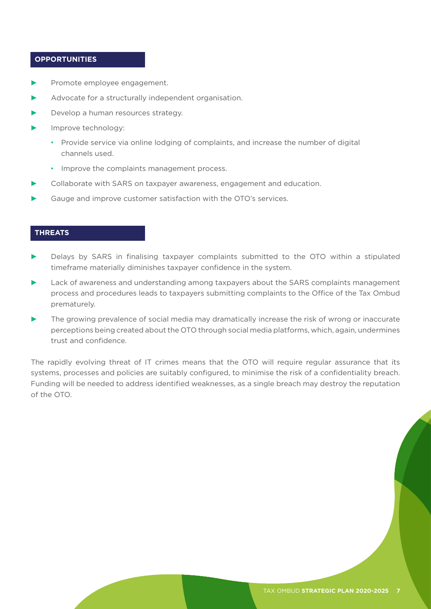#### **OPPORTUNITIES**

- Promote employee engagement.
- Advocate for a structurally independent organisation.
- Develop a human resources strategy.
- Improve technology:
	- Provide service via online lodging of complaints, and increase the number of digital channels used.
	- Improve the complaints management process.
- Collaborate with SARS on taxpayer awareness, engagement and education.
- Gauge and improve customer satisfaction with the OTO's services.

#### **THREATS**

- Delays by SARS in finalising taxpayer complaints submitted to the OTO within a stipulated timeframe materially diminishes taxpayer confidence in the system.
- Lack of awareness and understanding among taxpayers about the SARS complaints management process and procedures leads to taxpayers submitting complaints to the Office of the Tax Ombud prematurely.
- The growing prevalence of social media may dramatically increase the risk of wrong or inaccurate perceptions being created about the OTO through social media platforms, which, again, undermines trust and confidence.

The rapidly evolving threat of IT crimes means that the OTO will require regular assurance that its systems, processes and policies are suitably configured, to minimise the risk of a confidentiality breach. Funding will be needed to address identified weaknesses, as a single breach may destroy the reputation of the OTO.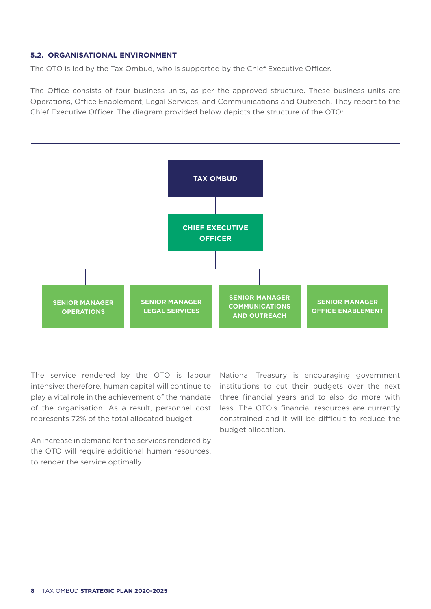#### **5.2. ORGANISATIONAL ENVIRONMENT**

The OTO is led by the Tax Ombud, who is supported by the Chief Executive Officer.

The Office consists of four business units, as per the approved structure. These business units are Operations, Office Enablement, Legal Services, and Communications and Outreach. They report to the Chief Executive Officer. The diagram provided below depicts the structure of the OTO:



The service rendered by the OTO is labour National Treasury is encouraging government intensive; therefore, human capital will continue to institutions to cut their budgets over the next play a vital role in the achievement of the mandate of the organisation. As a result, personnel cost less. The OTO's financial resources are currently represents 72% of the total allocated budget.

An increase in demand for the services rendered by the OTO will require additional human resources, to render the service optimally.

three financial years and to also do more with constrained and it will be difficult to reduce the budget allocation.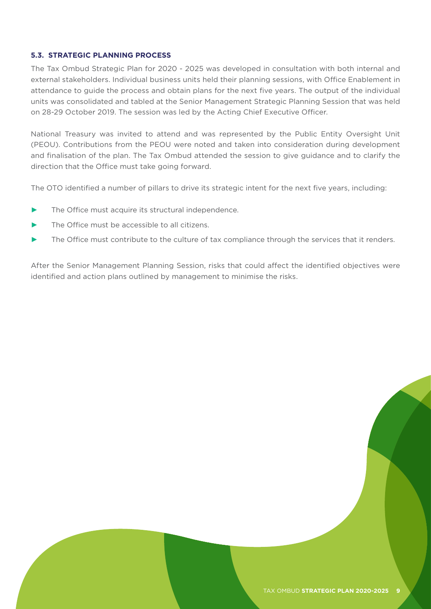#### **5.3. STRATEGIC PLANNING PROCESS**

The Tax Ombud Strategic Plan for 2020 - 2025 was developed in consultation with both internal and external stakeholders. Individual business units held their planning sessions, with Office Enablement in attendance to guide the process and obtain plans for the next five years. The output of the individual units was consolidated and tabled at the Senior Management Strategic Planning Session that was held on 28-29 October 2019. The session was led by the Acting Chief Executive Officer.

National Treasury was invited to attend and was represented by the Public Entity Oversight Unit (PEOU). Contributions from the PEOU were noted and taken into consideration during development and finalisation of the plan. The Tax Ombud attended the session to give guidance and to clarify the direction that the Office must take going forward.

The OTO identified a number of pillars to drive its strategic intent for the next five years, including:

- The Office must acquire its structural independence.
- The Office must be accessible to all citizens.
- The Office must contribute to the culture of tax compliance through the services that it renders.

After the Senior Management Planning Session, risks that could affect the identified objectives were identified and action plans outlined by management to minimise the risks.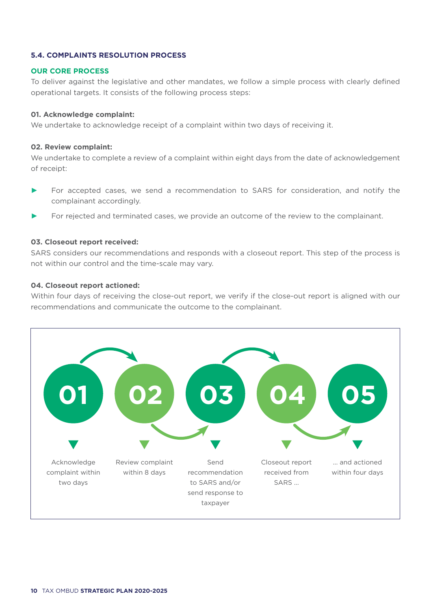#### **5.4. COMPLAINTS RESOLUTION PROCESS**

#### **OUR CORE PROCESS**

To deliver against the legislative and other mandates, we follow a simple process with clearly defined operational targets. It consists of the following process steps:

#### **01. Acknowledge complaint:**

We undertake to acknowledge receipt of a complaint within two days of receiving it.

#### **02. Review complaint:**

We undertake to complete a review of a complaint within eight days from the date of acknowledgement of receipt:

- For accepted cases, we send a recommendation to SARS for consideration, and notify the complainant accordingly.
- For rejected and terminated cases, we provide an outcome of the review to the complainant.

#### **03. Closeout report received:**

SARS considers our recommendations and responds with a closeout report. This step of the process is not within our control and the time-scale may vary.

#### **04. Closeout report actioned:**

Within four days of receiving the close-out report, we verify if the close-out report is aligned with our recommendations and communicate the outcome to the complainant.

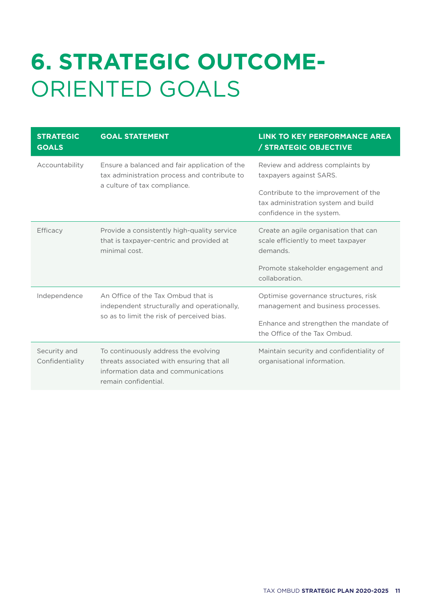## **6. STRATEGIC OUTCOME-**ORIENTED GOALS

| <b>STRATEGIC</b><br><b>GOALS</b> | <b>GOAL STATEMENT</b>                                                                                                                            | <b>LINK TO KEY PERFORMANCE AREA</b><br>/ STRATEGIC OBJECTIVE                                             |  |  |
|----------------------------------|--------------------------------------------------------------------------------------------------------------------------------------------------|----------------------------------------------------------------------------------------------------------|--|--|
| Accountability                   | Ensure a balanced and fair application of the<br>tax administration process and contribute to                                                    | Review and address complaints by<br>taxpayers against SARS.                                              |  |  |
|                                  | a culture of tax compliance.                                                                                                                     | Contribute to the improvement of the<br>tax administration system and build<br>confidence in the system. |  |  |
| Efficacy                         | Provide a consistently high-quality service<br>that is taxpayer-centric and provided at<br>minimal cost.                                         | Create an agile organisation that can<br>scale efficiently to meet taxpayer<br>demands.                  |  |  |
|                                  |                                                                                                                                                  | Promote stakeholder engagement and<br>collaboration.                                                     |  |  |
| Independence                     | An Office of the Tax Ombud that is<br>independent structurally and operationally,                                                                | Optimise governance structures, risk<br>management and business processes.                               |  |  |
|                                  | so as to limit the risk of perceived bias.                                                                                                       | Enhance and strengthen the mandate of<br>the Office of the Tax Ombud.                                    |  |  |
| Security and<br>Confidentiality  | To continuously address the evolving<br>threats associated with ensuring that all<br>information data and communications<br>remain confidential. | Maintain security and confidentiality of<br>organisational information.                                  |  |  |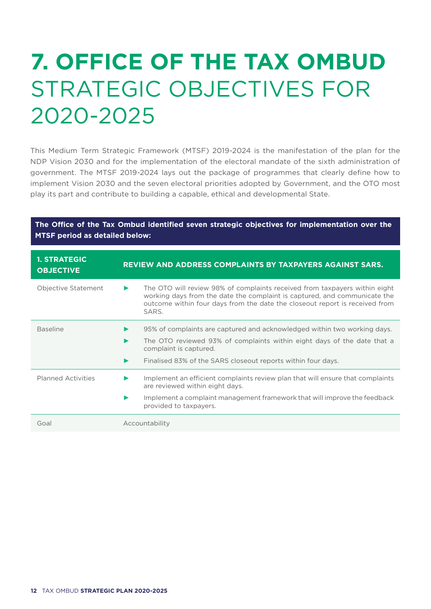## **7. OFFICE OF THE TAX OMBUD**  STRATEGIC OBJECTIVES FOR 2020-2025

This Medium Term Strategic Framework (MTSF) 2019-2024 is the manifestation of the plan for the NDP Vision 2030 and for the implementation of the electoral mandate of the sixth administration of government. The MTSF 2019-2024 lays out the package of programmes that clearly define how to implement Vision 2030 and the seven electoral priorities adopted by Government, and the OTO most play its part and contribute to building a capable, ethical and developmental State.

**The Office of the Tax Ombud identified seven strategic objectives for implementation over the MTSF period as detailed below:**

| <b>1. STRATEGIC</b><br><b>OBJECTIVE</b> | <b>REVIEW AND ADDRESS COMPLAINTS BY TAXPAYERS AGAINST SARS.</b>                                                                                                                                                                                 |
|-----------------------------------------|-------------------------------------------------------------------------------------------------------------------------------------------------------------------------------------------------------------------------------------------------|
| Objective Statement                     | The OTO will review 98% of complaints received from taxpayers within eight<br>working days from the date the complaint is captured, and communicate the<br>outcome within four days from the date the closeout report is received from<br>SARS. |
| <b>Baseline</b>                         | 95% of complaints are captured and acknowledged within two working days.<br>The OTO reviewed 93% of complaints within eight days of the date that a<br>complaint is captured.<br>Finalised 83% of the SARS closeout reports within four days.   |
| <b>Planned Activities</b>               | Implement an efficient complaints review plan that will ensure that complaints<br>are reviewed within eight days.<br>Implement a complaint management framework that will improve the feedback<br>provided to taxpayers.                        |
| Goal                                    | Accountability                                                                                                                                                                                                                                  |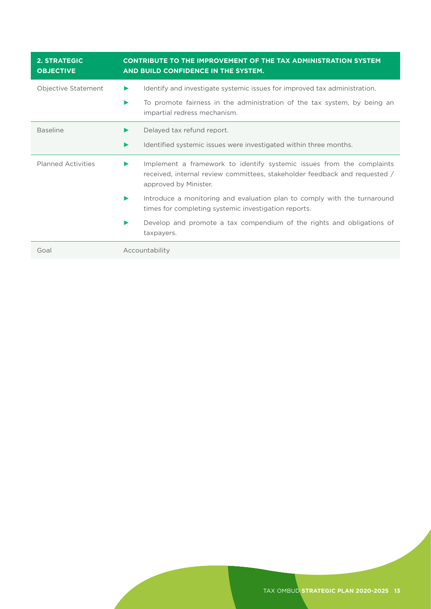| <b>2. STRATEGIC</b><br><b>OBJECTIVE</b> | <b>CONTRIBUTE TO THE IMPROVEMENT OF THE TAX ADMINISTRATION SYSTEM</b><br>AND BUILD CONFIDENCE IN THE SYSTEM.                                                                 |
|-----------------------------------------|------------------------------------------------------------------------------------------------------------------------------------------------------------------------------|
| Objective Statement                     | Identify and investigate systemic issues for improved tax administration.                                                                                                    |
|                                         | To promote fairness in the administration of the tax system, by being an<br>impartial redress mechanism.                                                                     |
| <b>Baseline</b>                         | Delayed tax refund report.                                                                                                                                                   |
|                                         | Identified systemic issues were investigated within three months.                                                                                                            |
| <b>Planned Activities</b>               | Implement a framework to identify systemic issues from the complaints<br>received, internal review committees, stakeholder feedback and requested /<br>approved by Minister. |
|                                         | Introduce a monitoring and evaluation plan to comply with the turnaround<br>times for completing systemic investigation reports.                                             |
|                                         | Develop and promote a tax compendium of the rights and obligations of<br>taxpayers.                                                                                          |
| Goal                                    | Accountability                                                                                                                                                               |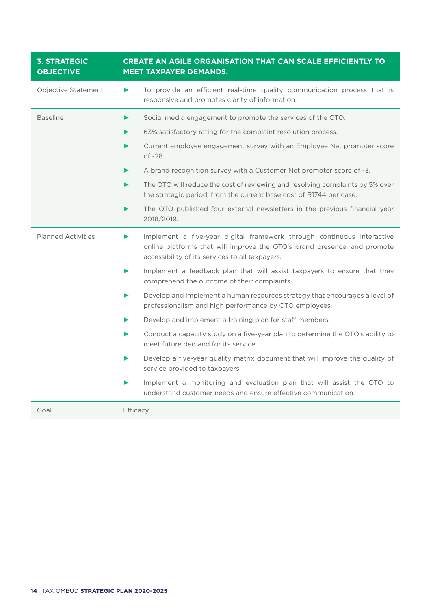| <b>3. STRATEGIC</b><br><b>OBJECTIVE</b> | CREATE AN AGILE ORGANISATION THAT CAN SCALE EFFICIENTLY TO<br><b>MEET TAXPAYER DEMANDS.</b>                                                                                                                |  |  |  |  |  |  |  |
|-----------------------------------------|------------------------------------------------------------------------------------------------------------------------------------------------------------------------------------------------------------|--|--|--|--|--|--|--|
| Objective Statement                     | To provide an efficient real-time quality communication process that is<br>▶<br>responsive and promotes clarity of information.                                                                            |  |  |  |  |  |  |  |
| <b>Baseline</b>                         | Social media engagement to promote the services of the OTO.                                                                                                                                                |  |  |  |  |  |  |  |
|                                         | 63% satisfactory rating for the complaint resolution process.                                                                                                                                              |  |  |  |  |  |  |  |
|                                         | Current employee engagement survey with an Employee Net promoter score<br>of -28.                                                                                                                          |  |  |  |  |  |  |  |
|                                         | A brand recognition survey with a Customer Net promoter score of -3.                                                                                                                                       |  |  |  |  |  |  |  |
|                                         | The OTO will reduce the cost of reviewing and resolving complaints by 5% over<br>the strategic period, from the current base cost of R1744 per case.                                                       |  |  |  |  |  |  |  |
|                                         | The OTO published four external newsletters in the previous financial year<br>2018/2019.                                                                                                                   |  |  |  |  |  |  |  |
| <b>Planned Activities</b>               | Implement a five-year digital framework through continuous interactive<br>▶<br>online platforms that will improve the OTO's brand presence, and promote<br>accessibility of its services to all taxpayers. |  |  |  |  |  |  |  |
|                                         | Implement a feedback plan that will assist taxpayers to ensure that they<br>comprehend the outcome of their complaints.                                                                                    |  |  |  |  |  |  |  |
|                                         | Develop and implement a human resources strategy that encourages a level of<br>professionalism and high performance by OTO employees.                                                                      |  |  |  |  |  |  |  |
|                                         | Develop and implement a training plan for staff members.                                                                                                                                                   |  |  |  |  |  |  |  |
|                                         | Conduct a capacity study on a five-year plan to determine the OTO's ability to<br>meet future demand for its service.                                                                                      |  |  |  |  |  |  |  |
|                                         | Develop a five-year quality matrix document that will improve the quality of<br>service provided to taxpayers.                                                                                             |  |  |  |  |  |  |  |
|                                         | Implement a monitoring and evaluation plan that will assist the OTO to<br>▶<br>understand customer needs and ensure effective communication.                                                               |  |  |  |  |  |  |  |
| Goal                                    | Efficacy                                                                                                                                                                                                   |  |  |  |  |  |  |  |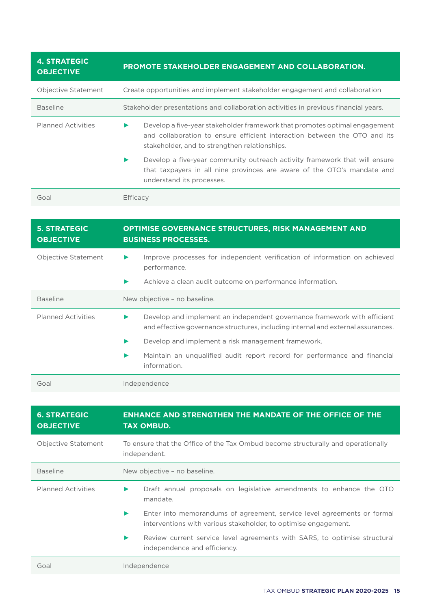| <b>4. STRATEGIC</b><br><b>OBJECTIVE</b> | PROMOTE STAKEHOLDER ENGAGEMENT AND COLLABORATION.                                                                                                                                                                                                                                                                                                                                              |
|-----------------------------------------|------------------------------------------------------------------------------------------------------------------------------------------------------------------------------------------------------------------------------------------------------------------------------------------------------------------------------------------------------------------------------------------------|
| Objective Statement                     | Create opportunities and implement stakeholder engagement and collaboration                                                                                                                                                                                                                                                                                                                    |
| <b>Baseline</b>                         | Stakeholder presentations and collaboration activities in previous financial years.                                                                                                                                                                                                                                                                                                            |
| <b>Planned Activities</b>               | Develop a five-year stakeholder framework that promotes optimal engagement<br>and collaboration to ensure efficient interaction between the OTO and its<br>stakeholder, and to strengthen relationships.<br>Develop a five-year community outreach activity framework that will ensure<br>that taxpayers in all nine provinces are aware of the OTO's mandate and<br>understand its processes. |
| Goal                                    | <b>Efficacy</b>                                                                                                                                                                                                                                                                                                                                                                                |
|                                         |                                                                                                                                                                                                                                                                                                                                                                                                |
| <b>5. STRATEGIC</b><br><b>OBJECTIVE</b> | OPTIMISE GOVERNANCE STRUCTURES, RISK MANAGEMENT AND<br><b>BUSINESS PROCESSES.</b>                                                                                                                                                                                                                                                                                                              |
| Objective Statement                     | Improve processes for independent verification of information on achieved<br>▶<br>performance.                                                                                                                                                                                                                                                                                                 |
|                                         | Achieve a clean audit outcome on performance information.<br>▶                                                                                                                                                                                                                                                                                                                                 |
|                                         |                                                                                                                                                                                                                                                                                                                                                                                                |
| <b>Baseline</b>                         | New objective - no baseline.                                                                                                                                                                                                                                                                                                                                                                   |
| <b>Planned Activities</b>               | Develop and implement an independent governance framework with efficient<br>▶<br>and effective governance structures, including internal and external assurances.                                                                                                                                                                                                                              |
|                                         | Develop and implement a risk management framework.                                                                                                                                                                                                                                                                                                                                             |
|                                         | Maintain an unqualified audit report record for performance and financial<br>information.                                                                                                                                                                                                                                                                                                      |
| Goal                                    | Independence                                                                                                                                                                                                                                                                                                                                                                                   |
|                                         |                                                                                                                                                                                                                                                                                                                                                                                                |

| <b>UDJECTIVE</b>          | IAA UMBUD.                                                                                                                                      |  |  |  |  |  |  |  |  |
|---------------------------|-------------------------------------------------------------------------------------------------------------------------------------------------|--|--|--|--|--|--|--|--|
| Objective Statement       | To ensure that the Office of the Tax Ombud become structurally and operationally<br>independent.                                                |  |  |  |  |  |  |  |  |
| <b>Baseline</b>           | New objective - no baseline.                                                                                                                    |  |  |  |  |  |  |  |  |
| <b>Planned Activities</b> | Draft annual proposals on legislative amendments to enhance the OTO<br>▶<br>mandate.                                                            |  |  |  |  |  |  |  |  |
|                           | Enter into memorandums of agreement, service level agreements or formal<br>▶<br>interventions with various stakeholder, to optimise engagement. |  |  |  |  |  |  |  |  |
|                           | Review current service level agreements with SARS, to optimise structural<br>▶<br>independence and efficiency.                                  |  |  |  |  |  |  |  |  |
| Goal                      | Independence                                                                                                                                    |  |  |  |  |  |  |  |  |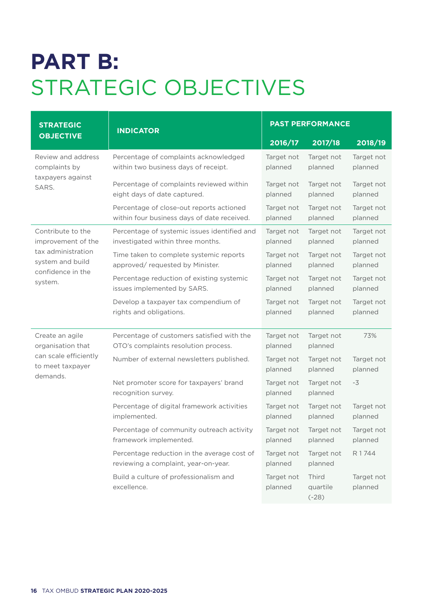# **PART B:** STRATEGIC OBJECTIVES

| <b>STRATEGIC</b>                                                  | <b>INDICATOR</b>                                                                    | <b>PAST PERFORMANCE</b> |                                  |                       |
|-------------------------------------------------------------------|-------------------------------------------------------------------------------------|-------------------------|----------------------------------|-----------------------|
| <b>OBJECTIVE</b>                                                  |                                                                                     | 2016/17                 | 2017/18                          | 2018/19               |
| Review and address<br>complaints by<br>taxpayers against<br>SARS. | Percentage of complaints acknowledged<br>within two business days of receipt.       | Target not<br>planned   | Target not<br>planned            | Target not<br>planned |
|                                                                   | Percentage of complaints reviewed within<br>eight days of date captured.            | Target not<br>planned   | Target not<br>planned            | Target not<br>planned |
|                                                                   | Percentage of close-out reports actioned                                            | Target not              | Target not                       | Target not            |
|                                                                   | within four business days of date received.                                         | planned                 | planned                          | planned               |
| Contribute to the                                                 | Percentage of systemic issues identified and                                        | Target not              | Target not                       | Target not            |
| improvement of the                                                | investigated within three months.                                                   | planned                 | planned                          | planned               |
| tax administration                                                | Time taken to complete systemic reports                                             | Target not              | Target not                       | Target not            |
| system and build                                                  | approved/requested by Minister.                                                     | planned                 | planned                          | planned               |
| confidence in the                                                 | Percentage reduction of existing systemic                                           | Target not              | Target not                       | Target not            |
| system.                                                           | issues implemented by SARS.                                                         | planned                 | planned                          | planned               |
|                                                                   | Develop a taxpayer tax compendium of                                                | Target not              | Target not                       | Target not            |
|                                                                   | rights and obligations.                                                             | planned                 | planned                          | planned               |
| Create an agile                                                   | Percentage of customers satisfied with the                                          | Target not              | Target not                       | 73%                   |
| organisation that                                                 | OTO's complaints resolution process.                                                | planned                 | planned                          |                       |
| can scale efficiently                                             | Number of external newsletters published.                                           | Target not              | Target not                       | Target not            |
| to meet taxpayer                                                  |                                                                                     | planned                 | planned                          | planned               |
| demands.                                                          | Net promoter score for taxpayers' brand<br>recognition survey.                      | Target not<br>planned   | Target not<br>planned            | $-3$                  |
|                                                                   | Percentage of digital framework activities                                          | Target not              | Target not                       | Target not            |
|                                                                   | implemented.                                                                        | planned                 | planned                          | planned               |
|                                                                   | Percentage of community outreach activity<br>framework implemented.                 | planned                 | Target not Target not<br>planned | Target not<br>planned |
|                                                                   | Percentage reduction in the average cost of<br>reviewing a complaint, year-on-year. | Target not<br>planned   | Target not<br>planned            | R1744                 |
|                                                                   | Build a culture of professionalism and<br>excellence.                               | Target not<br>planned   | Third<br>quartile<br>$(-28)$     | Target not<br>planned |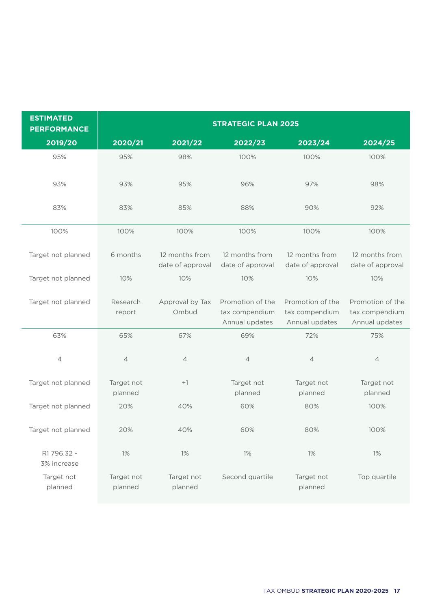| <b>ESTIMATED</b><br><b>PERFORMANCE</b> |                       |                                    | <b>STRATEGIC PLAN 2025</b>                           |                                                      |                                                      |
|----------------------------------------|-----------------------|------------------------------------|------------------------------------------------------|------------------------------------------------------|------------------------------------------------------|
| 2019/20                                | 2020/21               | 2021/22                            | 2022/23                                              | 2023/24                                              | 2024/25                                              |
| 95%                                    | 95%                   | 98%                                | 100%                                                 | 100%                                                 | 100%                                                 |
| 93%                                    | 93%                   | 95%                                | 96%                                                  | 97%                                                  | 98%                                                  |
| 83%                                    | 83%                   | 85%                                | 88%                                                  | 90%                                                  | 92%                                                  |
| 100%                                   | 100%                  | 100%                               | 100%                                                 | 100%                                                 | 100%                                                 |
| Target not planned                     | 6 months              | 12 months from<br>date of approval | 12 months from<br>date of approval                   | 12 months from<br>date of approval                   | 12 months from<br>date of approval                   |
| Target not planned                     | 10%                   | 10%                                | 10%                                                  | 10%                                                  | 10%                                                  |
| Target not planned                     | Research<br>report    | Approval by Tax<br>Ombud           | Promotion of the<br>tax compendium<br>Annual updates | Promotion of the<br>tax compendium<br>Annual updates | Promotion of the<br>tax compendium<br>Annual updates |
| 63%                                    | 65%                   | 67%                                | 69%                                                  | 72%                                                  | 75%                                                  |
| $\overline{4}$                         | $\sqrt{4}$            | $\sqrt{4}$                         | $\sqrt{4}$                                           | $\overline{4}$                                       | $\overline{4}$                                       |
| Target not planned                     | Target not<br>planned | $+1$                               | Target not<br>planned                                | Target not<br>planned                                | Target not<br>planned                                |
| Target not planned                     | 20%                   | 40%                                | 60%                                                  | 80%                                                  | 100%                                                 |
| Target not planned                     | 20%                   | 40%                                | 60%                                                  | 80%                                                  | 100%                                                 |
| R1796.32 -<br>3% increase              | $1\%$                 | $1\%$                              | $1\%$                                                | $1\%$                                                | $1\%$                                                |
| Target not<br>planned                  | Target not<br>planned | Target not<br>planned              | Second quartile                                      | Target not<br>planned                                | Top quartile                                         |
|                                        |                       |                                    |                                                      |                                                      |                                                      |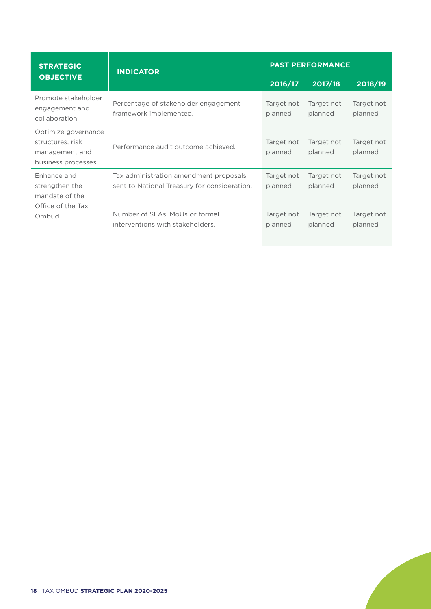| <b>STRATEGIC</b>                                                                 | <b>INDICATOR</b>                                                                                                         | <b>PAST PERFORMANCE</b>             |                                     |                                     |
|----------------------------------------------------------------------------------|--------------------------------------------------------------------------------------------------------------------------|-------------------------------------|-------------------------------------|-------------------------------------|
| <b>OBJECTIVE</b>                                                                 |                                                                                                                          | 2016/17                             | 2017/18                             | 2018/19                             |
| Promote stakeholder<br>engagement and<br>collaboration.                          | Percentage of stakeholder engagement<br>framework implemented.                                                           | Target not<br>planned               | Target not<br>planned               | Target not<br>planned               |
| Optimize governance<br>structures, risk<br>management and<br>business processes. | Performance audit outcome achieved.                                                                                      | Target not<br>planned               | Target not<br>planned               | Target not<br>planned               |
| Enhance and<br>strengthen the<br>mandate of the<br>Office of the Tax<br>Ombud.   | Tax administration amendment proposals<br>sent to National Treasury for consideration.<br>Number of SLAs, MoUs or formal | Target not<br>planned<br>Target not | Target not<br>planned<br>Target not | Target not<br>planned<br>Target not |
|                                                                                  | interventions with stakeholders.                                                                                         | planned                             | planned                             | planned                             |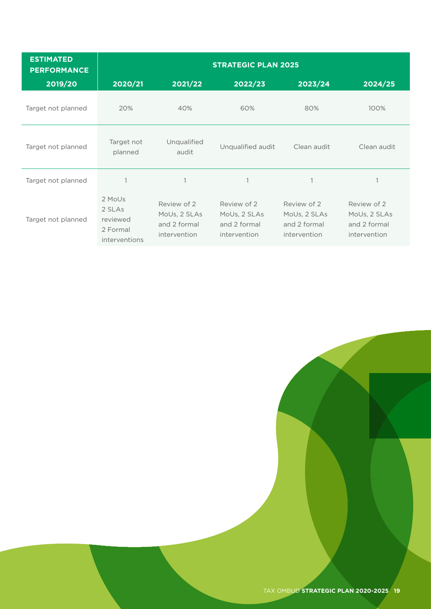| <b>ESTIMATED</b><br><b>PERFORMANCE</b> | <b>STRATEGIC PLAN 2025</b>                                |                                                             |                                                             |                                                             |                                                             |  |  |
|----------------------------------------|-----------------------------------------------------------|-------------------------------------------------------------|-------------------------------------------------------------|-------------------------------------------------------------|-------------------------------------------------------------|--|--|
| 2019/20                                | 2020/21                                                   | 2021/22                                                     | 2022/23                                                     | 2023/24                                                     | 2024/25                                                     |  |  |
| Target not planned                     | 20%                                                       | 40%                                                         | 60%                                                         | 80%                                                         | 100%                                                        |  |  |
| Target not planned                     | Target not<br>planned                                     | Unqualified<br>audit                                        | Unqualified audit                                           | Clean audit                                                 | Clean audit                                                 |  |  |
| Target not planned                     |                                                           |                                                             |                                                             |                                                             |                                                             |  |  |
| Target not planned                     | 2 MoUs<br>2 SLAs<br>reviewed<br>2 Formal<br>interventions | Review of 2<br>MoUs, 2 SLAs<br>and 2 formal<br>intervention | Review of 2<br>MoUs, 2 SLAs<br>and 2 formal<br>intervention | Review of 2<br>MoUs, 2 SLAs<br>and 2 formal<br>intervention | Review of 2<br>MoUs, 2 SLAs<br>and 2 formal<br>intervention |  |  |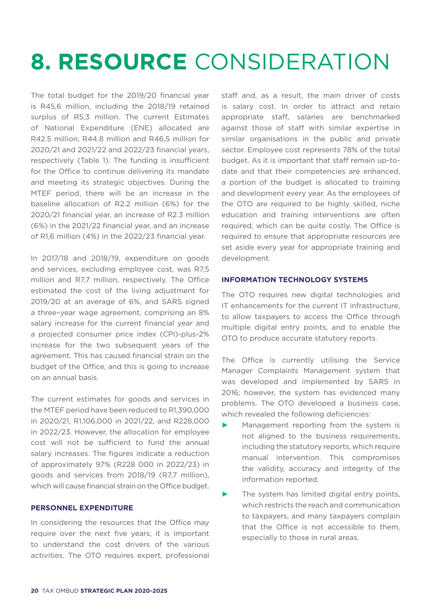## **8. RESOURCE** CONSIDERATION

The total budget for the 2019/20 financial year is R45,6 million, including the 2018/19 retained surplus of R5,3 million. The current Estimates of National Expenditure (ENE) allocated are R42.5 million, R44.8 million and R46,5 million for 2020/21 and 2021/22 and 2022/23 financial years, respectively (Table 1). The funding is insufficient for the Office to continue delivering its mandate and meeting its strategic objectives. During the MTEF period, there will be an increase in the baseline allocation of R2.2 million (6%) for the 2020/21 financial year, an increase of R2.3 million (6%) in the 2021/22 financial year, and an increase of R1,6 million (4%) in the 2022/23 financial year.

In 2017/18 and 2018/19, expenditure on goods and services, excluding employee cost, was R7,5 million and R7,7 million, respectively. The Office estimated the cost of the living adjustment for 2019/20 at an average of 6%, and SARS signed a three–year wage agreement, comprising an 8% salary increase for the current financial year and a projected consumer price index (CPI)-plus-2% increase for the two subsequent years of the agreement. This has caused financial strain on the budget of the Office, and this is going to increase on an annual basis.

The current estimates for goods and services in the MTEF period have been reduced to R1,390,000 in 2020/21, R1,106,000 in 2021/22, and R228,000 in 2022/23. However, the allocation for employee cost will not be sufficient to fund the annual salary increases. The figures indicate a reduction of approximately 97% (R228 000 in 2022/23) in goods and services from 2018/19 (R7,7 million), which will cause financial strain on the Office budget.

#### **PERSONNEL EXPENDITURE**

In considering the resources that the Office may require over the next five years, it is important to understand the cost drivers of the various activities. The OTO requires expert, professional staff and, as a result, the main driver of costs is salary cost. In order to attract and retain appropriate staff, salaries are benchmarked against those of staff with similar expertise in similar organisations in the public and private sector. Employee cost represents 78% of the total budget. As it is important that staff remain up-todate and that their competencies are enhanced, a portion of the budget is allocated to training and development every year. As the employees of the OTO are required to be highly skilled, niche education and training interventions are often required, which can be quite costly. The Office is required to ensure that appropriate resources are set aside every year for appropriate training and development.

#### **INFORMATION TECHNOLOGY SYSTEMS**

The OTO requires new digital technologies and IT enhancements for the current IT infrastructure, to allow taxpayers to access the Office through multiple digital entry points, and to enable the OTO to produce accurate statutory reports.

The Office is currently utilising the Service Manager Complaints Management system that was developed and implemented by SARS in 2016; however, the system has evidenced many problems. The OTO developed a business case, which revealed the following deficiencies:

- Management reporting from the system is not aligned to the business requirements, including the statutory reports, which require manual intervention. This compromises the validity, accuracy and integrity of the information reported.
- ► The system has limited digital entry points, which restricts the reach and communication to taxpayers, and many taxpayers complain that the Office is not accessible to them, especially to those in rural areas.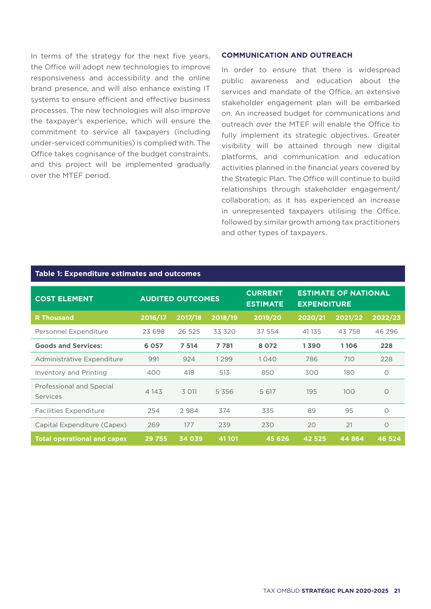In terms of the strategy for the next five years, the Office will adopt new technologies to improve responsiveness and accessibility and the online brand presence, and will also enhance existing IT systems to ensure efficient and effective business processes. The new technologies will also improve the taxpayer's experience, which will ensure the commitment to service all taxpayers (including under-serviced communities) is complied with. The Office takes cognisance of the budget constraints, and this project will be implemented gradually over the MTEF period.

#### **COMMUNICATION AND OUTREACH**

In order to ensure that there is widespread public awareness and education about the services and mandate of the Office, an extensive stakeholder engagement plan will be embarked on. An increased budget for communications and outreach over the MTEF will enable the Office to fully implement its strategic objectives. Greater visibility will be attained through new digital platforms, and communication and education activities planned in the financial years covered by the Strategic Plan. The Office will continue to build relationships through stakeholder engagement/ collaboration, as it has experienced an increase in unrepresented taxpayers utilising the Office, followed by similar growth among tax practitioners and other types of taxpayers.

| <b>COST ELEMENT</b>                         | <b>AUDITED OUTCOMES</b> |         | <b>CURRENT</b><br><b>ESTIMATE</b> | <b>ESTIMATE OF NATIONAL</b><br><b>EXPENDITURE</b> |         |         |            |
|---------------------------------------------|-------------------------|---------|-----------------------------------|---------------------------------------------------|---------|---------|------------|
| <b>R</b> Thousand                           | 2016/17                 | 2017/18 | 2018/19                           | 2019/20                                           | 2020/21 | 2021/22 | 2022/23    |
| Personnel Expenditure                       | 23 698                  | 26 525  | 33 320                            | 37 554                                            | 41 135  | 43 758  | 46 29 6    |
| <b>Goods and Services:</b>                  | 6 0 5 7                 | 7 5 14  | 7 7 8 1                           | 8 0 7 2                                           | 1390    | 1106    | 228        |
| Administrative Expenditure                  | 991                     | 924     | 1299                              | 1040                                              | 786     | 710     | 228        |
| Inventory and Printing                      | 400                     | 418     | 513                               | 850                                               | 300     | 180     | $\circ$    |
| Professional and Special<br><b>Services</b> | 4 1 4 3                 | 3 0 1 1 | 5 3 5 6                           | 5 617                                             | 195     | 100     | $\bigcirc$ |
| <b>Facilities Expenditure</b>               | 254                     | 2984    | 374                               | 335                                               | 89      | 95      | $\Omega$   |
| Capital Expenditure (Capex)                 | 269                     | 177     | 239                               | 230                                               | 20      | 21      | $\bigcirc$ |
| <b>Total operational and capex</b>          | 29 755                  | 34 039  | 41 101                            | 45 626                                            | 42 525  | 44 864  | 46 524     |

#### **Table 1: Expenditure estimates and outcomes**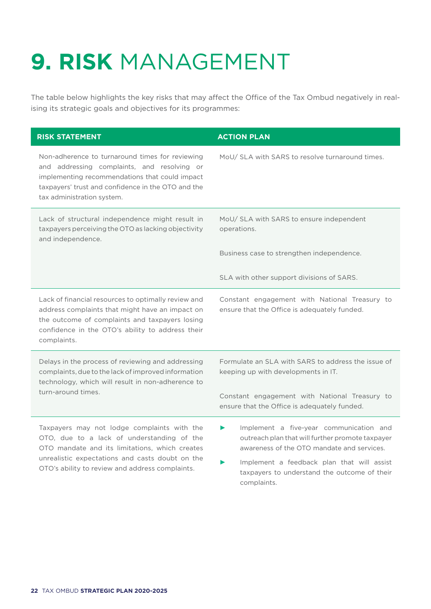# **9. RISK** MANAGEMENT

The table below highlights the key risks that may affect the Office of the Tax Ombud negatively in realising its strategic goals and objectives for its programmes:

| <b>RISK STATEMENT</b>                                                                                                                                                                                                                             | <b>ACTION PLAN</b>                                                                                                                                                                                                                                               |
|---------------------------------------------------------------------------------------------------------------------------------------------------------------------------------------------------------------------------------------------------|------------------------------------------------------------------------------------------------------------------------------------------------------------------------------------------------------------------------------------------------------------------|
| Non-adherence to turnaround times for reviewing<br>and addressing complaints, and resolving or<br>implementing recommendations that could impact<br>taxpayers' trust and confidence in the OTO and the<br>tax administration system.              | MoU/ SLA with SARS to resolve turnaround times.                                                                                                                                                                                                                  |
| Lack of structural independence might result in<br>taxpayers perceiving the OTO as lacking objectivity<br>and independence.                                                                                                                       | MoU/ SLA with SARS to ensure independent<br>operations.                                                                                                                                                                                                          |
|                                                                                                                                                                                                                                                   | Business case to strengthen independence.                                                                                                                                                                                                                        |
|                                                                                                                                                                                                                                                   | SLA with other support divisions of SARS.                                                                                                                                                                                                                        |
| Lack of financial resources to optimally review and<br>address complaints that might have an impact on<br>the outcome of complaints and taxpayers losing<br>confidence in the OTO's ability to address their<br>complaints.                       | Constant engagement with National Treasury to<br>ensure that the Office is adequately funded.                                                                                                                                                                    |
| Delays in the process of reviewing and addressing<br>complaints, due to the lack of improved information<br>technology, which will result in non-adherence to                                                                                     | Formulate an SLA with SARS to address the issue of<br>keeping up with developments in IT.                                                                                                                                                                        |
| turn-around times.                                                                                                                                                                                                                                | Constant engagement with National Treasury to<br>ensure that the Office is adequately funded.                                                                                                                                                                    |
| Taxpayers may not lodge complaints with the<br>OTO, due to a lack of understanding of the<br>OTO mandate and its limitations, which creates<br>unrealistic expectations and casts doubt on the<br>OTO's ability to review and address complaints. | Implement a five-year communication and<br>▶<br>outreach plan that will further promote taxpayer<br>awareness of the OTO mandate and services.<br>Implement a feedback plan that will assist<br>▶<br>taxpayers to understand the outcome of their<br>complaints. |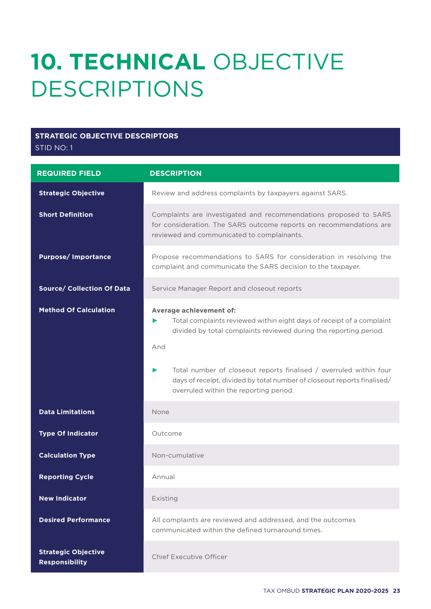## **10. TECHNICAL OBJECTIVE** DESCRIPTIONS

#### **STRATEGIC OBJECTIVE DESCRIPTORS**

| <b>REQUIRED FIELD</b>                               | <b>DESCRIPTION</b>                                                                                                                                                                                                                                                                                                                                                      |
|-----------------------------------------------------|-------------------------------------------------------------------------------------------------------------------------------------------------------------------------------------------------------------------------------------------------------------------------------------------------------------------------------------------------------------------------|
| <b>Strategic Objective</b>                          | Review and address complaints by taxpayers against SARS.                                                                                                                                                                                                                                                                                                                |
| <b>Short Definition</b>                             | Complaints are investigated and recommendations proposed to SARS<br>for consideration. The SARS outcome reports on recommendations are<br>reviewed and communicated to complainants.                                                                                                                                                                                    |
| <b>Purpose/Importance</b>                           | Propose recommendations to SARS for consideration in resolving the<br>complaint and communicate the SARS decision to the taxpayer.                                                                                                                                                                                                                                      |
| <b>Source/ Collection Of Data</b>                   | Service Manager Report and closeout reports                                                                                                                                                                                                                                                                                                                             |
| <b>Method Of Calculation</b>                        | Average achievement of:<br>Total complaints reviewed within eight days of receipt of a complaint<br>divided by total complaints reviewed during the reporting period.<br>And<br>Total number of closeout reports finalised / overruled within four<br>days of receipt, divided by total number of closeout reports finalised/<br>overruled within the reporting period. |
| <b>Data Limitations</b>                             | None                                                                                                                                                                                                                                                                                                                                                                    |
| <b>Type Of Indicator</b>                            | Outcome                                                                                                                                                                                                                                                                                                                                                                 |
| <b>Calculation Type</b>                             | Non-cumulative                                                                                                                                                                                                                                                                                                                                                          |
| <b>Reporting Cycle</b>                              | Annual                                                                                                                                                                                                                                                                                                                                                                  |
| <b>New Indicator</b>                                | Existing                                                                                                                                                                                                                                                                                                                                                                |
| <b>Desired Performance</b>                          | All complaints are reviewed and addressed, and the outcomes<br>communicated within the defined turnaround times.                                                                                                                                                                                                                                                        |
| <b>Strategic Objective</b><br><b>Responsibility</b> | Chief Executive Officer                                                                                                                                                                                                                                                                                                                                                 |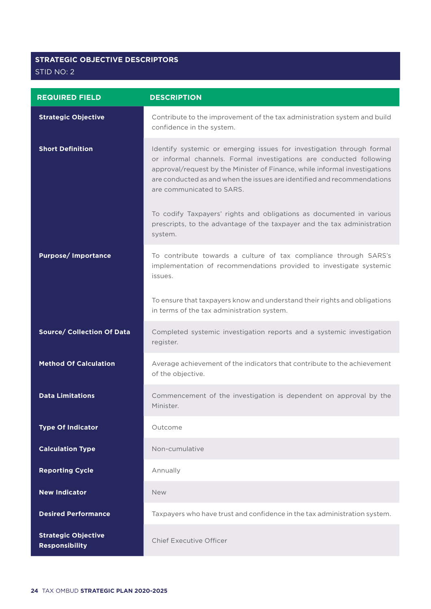| <b>REQUIRED FIELD</b>                               | <b>DESCRIPTION</b>                                                                                                                                                                                                                                                                                                                 |
|-----------------------------------------------------|------------------------------------------------------------------------------------------------------------------------------------------------------------------------------------------------------------------------------------------------------------------------------------------------------------------------------------|
| <b>Strategic Objective</b>                          | Contribute to the improvement of the tax administration system and build<br>confidence in the system.                                                                                                                                                                                                                              |
| <b>Short Definition</b>                             | Identify systemic or emerging issues for investigation through formal<br>or informal channels. Formal investigations are conducted following<br>approval/request by the Minister of Finance, while informal investigations<br>are conducted as and when the issues are identified and recommendations<br>are communicated to SARS. |
|                                                     | To codify Taxpayers' rights and obligations as documented in various<br>prescripts, to the advantage of the taxpayer and the tax administration<br>system.                                                                                                                                                                         |
| <b>Purpose/Importance</b>                           | To contribute towards a culture of tax compliance through SARS's<br>implementation of recommendations provided to investigate systemic<br>issues.                                                                                                                                                                                  |
|                                                     | To ensure that taxpayers know and understand their rights and obligations<br>in terms of the tax administration system.                                                                                                                                                                                                            |
| <b>Source/ Collection Of Data</b>                   | Completed systemic investigation reports and a systemic investigation<br>register.                                                                                                                                                                                                                                                 |
| <b>Method Of Calculation</b>                        | Average achievement of the indicators that contribute to the achievement<br>of the objective.                                                                                                                                                                                                                                      |
| <b>Data Limitations</b>                             | Commencement of the investigation is dependent on approval by the<br>Minister.                                                                                                                                                                                                                                                     |
| <b>Type Of Indicator</b>                            | Outcome                                                                                                                                                                                                                                                                                                                            |
| <b>Calculation Type</b>                             | Non-cumulative                                                                                                                                                                                                                                                                                                                     |
| <b>Reporting Cycle</b>                              | Annually                                                                                                                                                                                                                                                                                                                           |
| <b>New Indicator</b>                                | <b>New</b>                                                                                                                                                                                                                                                                                                                         |
| <b>Desired Performance</b>                          | Taxpayers who have trust and confidence in the tax administration system.                                                                                                                                                                                                                                                          |
| <b>Strategic Objective</b><br><b>Responsibility</b> | Chief Executive Officer                                                                                                                                                                                                                                                                                                            |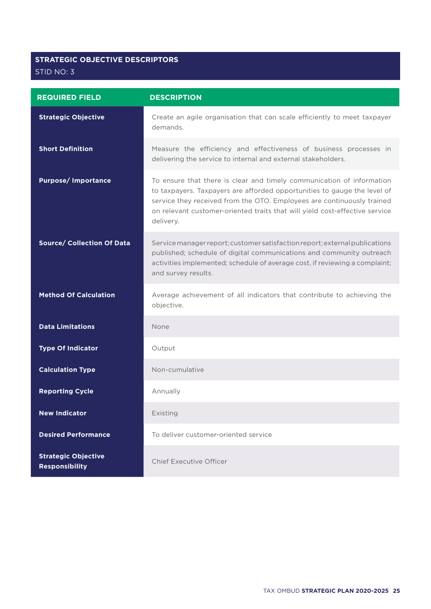| <b>REQUIRED FIELD</b>                               | <b>DESCRIPTION</b>                                                                                                                                                                                                                                                                                                      |
|-----------------------------------------------------|-------------------------------------------------------------------------------------------------------------------------------------------------------------------------------------------------------------------------------------------------------------------------------------------------------------------------|
| <b>Strategic Objective</b>                          | Create an agile organisation that can scale efficiently to meet taxpayer<br>demands.                                                                                                                                                                                                                                    |
| <b>Short Definition</b>                             | Measure the efficiency and effectiveness of business processes in<br>delivering the service to internal and external stakeholders.                                                                                                                                                                                      |
| <b>Purpose/Importance</b>                           | To ensure that there is clear and timely communication of information<br>to taxpayers. Taxpayers are afforded opportunities to gauge the level of<br>service they received from the OTO. Employees are continuously trained<br>on relevant customer-oriented traits that will yield cost-effective service<br>delivery. |
| <b>Source/ Collection Of Data</b>                   | Service manager report; customer satisfaction report; external publications<br>published; schedule of digital communications and community outreach<br>activities implemented; schedule of average cost, if reviewing a complaint;<br>and survey results.                                                               |
| <b>Method Of Calculation</b>                        | Average achievement of all indicators that contribute to achieving the<br>objective.                                                                                                                                                                                                                                    |
| <b>Data Limitations</b>                             | None                                                                                                                                                                                                                                                                                                                    |
| <b>Type Of Indicator</b>                            | Output                                                                                                                                                                                                                                                                                                                  |
| <b>Calculation Type</b>                             | Non-cumulative                                                                                                                                                                                                                                                                                                          |
| <b>Reporting Cycle</b>                              | Annually                                                                                                                                                                                                                                                                                                                |
| <b>New Indicator</b>                                | Existing                                                                                                                                                                                                                                                                                                                |
| <b>Desired Performance</b>                          | To deliver customer-oriented service                                                                                                                                                                                                                                                                                    |
| <b>Strategic Objective</b><br><b>Responsibility</b> | <b>Chief Executive Officer</b>                                                                                                                                                                                                                                                                                          |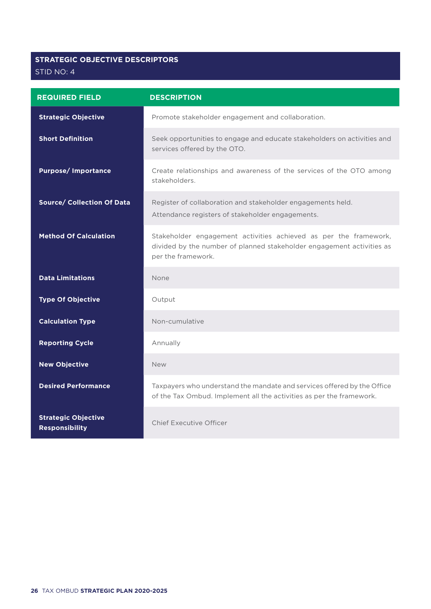| <b>REQUIRED FIELD</b>                               | <b>DESCRIPTION</b>                                                                                                                                              |
|-----------------------------------------------------|-----------------------------------------------------------------------------------------------------------------------------------------------------------------|
| <b>Strategic Objective</b>                          | Promote stakeholder engagement and collaboration.                                                                                                               |
| <b>Short Definition</b>                             | Seek opportunities to engage and educate stakeholders on activities and<br>services offered by the OTO.                                                         |
| <b>Purpose/Importance</b>                           | Create relationships and awareness of the services of the OTO among<br>stakeholders.                                                                            |
| <b>Source/ Collection Of Data</b>                   | Register of collaboration and stakeholder engagements held.<br>Attendance registers of stakeholder engagements.                                                 |
| <b>Method Of Calculation</b>                        | Stakeholder engagement activities achieved as per the framework,<br>divided by the number of planned stakeholder engagement activities as<br>per the framework. |
| <b>Data Limitations</b>                             | None                                                                                                                                                            |
| <b>Type Of Objective</b>                            | Output                                                                                                                                                          |
| <b>Calculation Type</b>                             | Non-cumulative                                                                                                                                                  |
| <b>Reporting Cycle</b>                              | Annually                                                                                                                                                        |
| <b>New Objective</b>                                | <b>New</b>                                                                                                                                                      |
| <b>Desired Performance</b>                          | Taxpayers who understand the mandate and services offered by the Office<br>of the Tax Ombud. Implement all the activities as per the framework.                 |
| <b>Strategic Objective</b><br><b>Responsibility</b> | Chief Executive Officer                                                                                                                                         |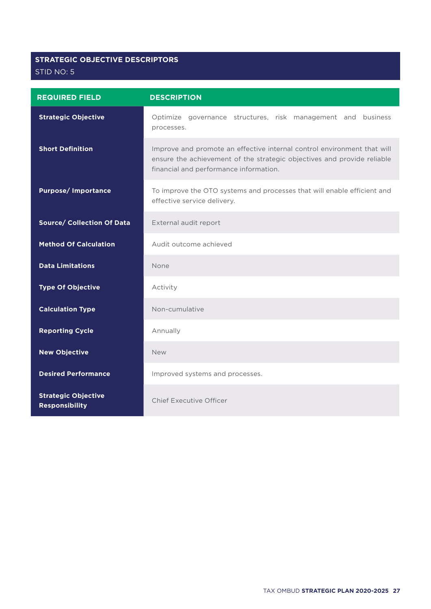| <b>REQUIRED FIELD</b>                               | <b>DESCRIPTION</b>                                                                                                                                                                           |
|-----------------------------------------------------|----------------------------------------------------------------------------------------------------------------------------------------------------------------------------------------------|
| <b>Strategic Objective</b>                          | Optimize governance structures, risk management and business<br>processes.                                                                                                                   |
| <b>Short Definition</b>                             | Improve and promote an effective internal control environment that will<br>ensure the achievement of the strategic objectives and provide reliable<br>financial and performance information. |
| <b>Purpose/Importance</b>                           | To improve the OTO systems and processes that will enable efficient and<br>effective service delivery.                                                                                       |
| <b>Source/ Collection Of Data</b>                   | External audit report                                                                                                                                                                        |
| <b>Method Of Calculation</b>                        | Audit outcome achieved                                                                                                                                                                       |
| <b>Data Limitations</b>                             | None                                                                                                                                                                                         |
| <b>Type Of Objective</b>                            | Activity                                                                                                                                                                                     |
| <b>Calculation Type</b>                             | Non-cumulative                                                                                                                                                                               |
| <b>Reporting Cycle</b>                              | Annually                                                                                                                                                                                     |
| <b>New Objective</b>                                | <b>New</b>                                                                                                                                                                                   |
| <b>Desired Performance</b>                          | Improved systems and processes.                                                                                                                                                              |
| <b>Strategic Objective</b><br><b>Responsibility</b> | Chief Executive Officer                                                                                                                                                                      |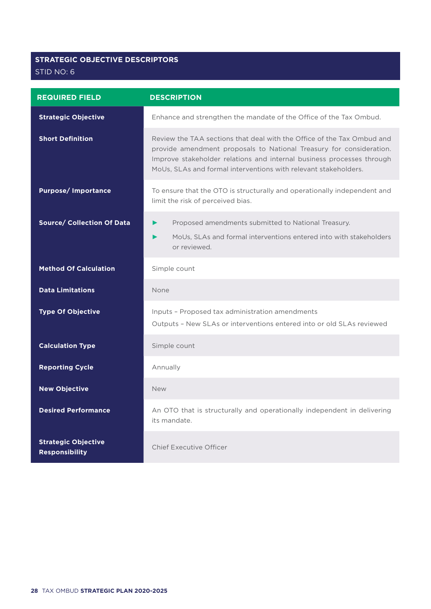### **STRATEGIC OBJECTIVE DESCRIPTORS** STID NO: 6

| <b>REQUIRED FIELD</b>                               | <b>DESCRIPTION</b>                                                                                                                                                                                                                                                                        |
|-----------------------------------------------------|-------------------------------------------------------------------------------------------------------------------------------------------------------------------------------------------------------------------------------------------------------------------------------------------|
| <b>Strategic Objective</b>                          | Enhance and strengthen the mandate of the Office of the Tax Ombud.                                                                                                                                                                                                                        |
| <b>Short Definition</b>                             | Review the TAA sections that deal with the Office of the Tax Ombud and<br>provide amendment proposals to National Treasury for consideration.<br>Improve stakeholder relations and internal business processes through<br>MoUs, SLAs and formal interventions with relevant stakeholders. |
| <b>Purpose/Importance</b>                           | To ensure that the OTO is structurally and operationally independent and<br>limit the risk of perceived bias.                                                                                                                                                                             |
| <b>Source/ Collection Of Data</b>                   | Proposed amendments submitted to National Treasury.<br>▶<br>MoUs, SLAs and formal interventions entered into with stakeholders<br>or reviewed.                                                                                                                                            |
| <b>Method Of Calculation</b>                        | Simple count                                                                                                                                                                                                                                                                              |
| <b>Data Limitations</b>                             | <b>None</b>                                                                                                                                                                                                                                                                               |
| <b>Type Of Objective</b>                            | Inputs - Proposed tax administration amendments<br>Outputs - New SLAs or interventions entered into or old SLAs reviewed                                                                                                                                                                  |
| <b>Calculation Type</b>                             | Simple count                                                                                                                                                                                                                                                                              |
| <b>Reporting Cycle</b>                              | Annually                                                                                                                                                                                                                                                                                  |
| <b>New Objective</b>                                | <b>New</b>                                                                                                                                                                                                                                                                                |
| <b>Desired Performance</b>                          | An OTO that is structurally and operationally independent in delivering<br>its mandate.                                                                                                                                                                                                   |
| <b>Strategic Objective</b><br><b>Responsibility</b> | Chief Executive Officer                                                                                                                                                                                                                                                                   |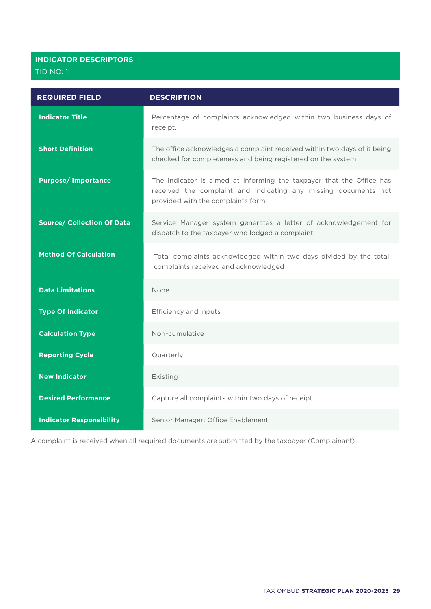## **INDICATOR DESCRIPTORS**

TID NO: 1

| <b>REQUIRED FIELD</b>             | <b>DESCRIPTION</b>                                                                                                                                                            |
|-----------------------------------|-------------------------------------------------------------------------------------------------------------------------------------------------------------------------------|
| <b>Indicator Title</b>            | Percentage of complaints acknowledged within two business days of<br>receipt.                                                                                                 |
| <b>Short Definition</b>           | The office acknowledges a complaint received within two days of it being<br>checked for completeness and being registered on the system.                                      |
| <b>Purpose/Importance</b>         | The indicator is aimed at informing the taxpayer that the Office has<br>received the complaint and indicating any missing documents not<br>provided with the complaints form. |
| <b>Source/ Collection Of Data</b> | Service Manager system generates a letter of acknowledgement for<br>dispatch to the taxpayer who lodged a complaint.                                                          |
| <b>Method Of Calculation</b>      | Total complaints acknowledged within two days divided by the total<br>complaints received and acknowledged                                                                    |
| <b>Data Limitations</b>           | None                                                                                                                                                                          |
| <b>Type Of Indicator</b>          | Efficiency and inputs                                                                                                                                                         |
| <b>Calculation Type</b>           | Non-cumulative                                                                                                                                                                |
| <b>Reporting Cycle</b>            | Quarterly                                                                                                                                                                     |
| <b>New Indicator</b>              | Existing                                                                                                                                                                      |
| <b>Desired Performance</b>        | Capture all complaints within two days of receipt                                                                                                                             |
| <b>Indicator Responsibility</b>   | Senior Manager: Office Enablement                                                                                                                                             |

A complaint is received when all required documents are submitted by the taxpayer (Complainant)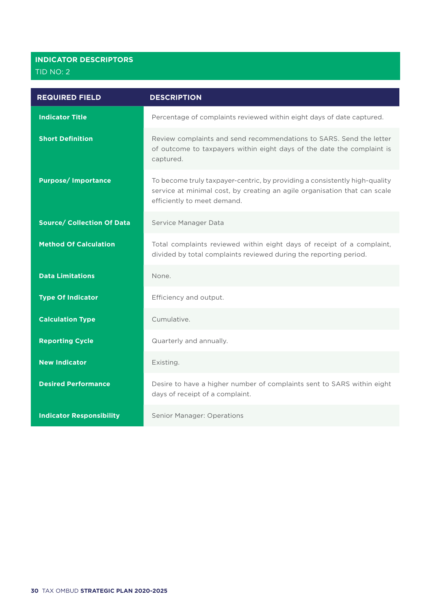| <b>REQUIRED FIELD</b>             | <b>DESCRIPTION</b>                                                                                                                                                                     |
|-----------------------------------|----------------------------------------------------------------------------------------------------------------------------------------------------------------------------------------|
| <b>Indicator Title</b>            | Percentage of complaints reviewed within eight days of date captured.                                                                                                                  |
| <b>Short Definition</b>           | Review complaints and send recommendations to SARS. Send the letter<br>of outcome to taxpayers within eight days of the date the complaint is<br>captured.                             |
| <b>Purpose/Importance</b>         | To become truly taxpayer-centric, by providing a consistently high-quality<br>service at minimal cost, by creating an agile organisation that can scale<br>efficiently to meet demand. |
| <b>Source/ Collection Of Data</b> | Service Manager Data                                                                                                                                                                   |
| <b>Method Of Calculation</b>      | Total complaints reviewed within eight days of receipt of a complaint,<br>divided by total complaints reviewed during the reporting period.                                            |
| <b>Data Limitations</b>           | None.                                                                                                                                                                                  |
| <b>Type Of Indicator</b>          | Efficiency and output.                                                                                                                                                                 |
| <b>Calculation Type</b>           | Cumulative.                                                                                                                                                                            |
| <b>Reporting Cycle</b>            | Quarterly and annually.                                                                                                                                                                |
| <b>New Indicator</b>              | Existing.                                                                                                                                                                              |
| <b>Desired Performance</b>        | Desire to have a higher number of complaints sent to SARS within eight<br>days of receipt of a complaint.                                                                              |
| <b>Indicator Responsibility</b>   | <b>Senior Manager: Operations</b>                                                                                                                                                      |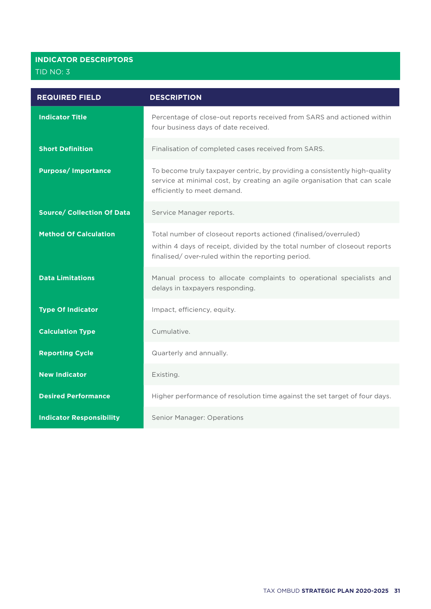| <b>REQUIRED FIELD</b>             | <b>DESCRIPTION</b>                                                                                                                                                                                |
|-----------------------------------|---------------------------------------------------------------------------------------------------------------------------------------------------------------------------------------------------|
| <b>Indicator Title</b>            | Percentage of close-out reports received from SARS and actioned within<br>four business days of date received.                                                                                    |
| <b>Short Definition</b>           | Finalisation of completed cases received from SARS.                                                                                                                                               |
| <b>Purpose/Importance</b>         | To become truly taxpayer centric, by providing a consistently high-quality<br>service at minimal cost, by creating an agile organisation that can scale<br>efficiently to meet demand.            |
| <b>Source/ Collection Of Data</b> | Service Manager reports.                                                                                                                                                                          |
| <b>Method Of Calculation</b>      | Total number of closeout reports actioned (finalised/overruled)<br>within 4 days of receipt, divided by the total number of closeout reports<br>finalised/over-ruled within the reporting period. |
| <b>Data Limitations</b>           | Manual process to allocate complaints to operational specialists and<br>delays in taxpayers responding.                                                                                           |
| <b>Type Of Indicator</b>          | Impact, efficiency, equity.                                                                                                                                                                       |
| <b>Calculation Type</b>           | Cumulative.                                                                                                                                                                                       |
| <b>Reporting Cycle</b>            | Quarterly and annually.                                                                                                                                                                           |
| <b>New Indicator</b>              | Existing.                                                                                                                                                                                         |
| <b>Desired Performance</b>        | Higher performance of resolution time against the set target of four days.                                                                                                                        |
| <b>Indicator Responsibility</b>   | Senior Manager: Operations                                                                                                                                                                        |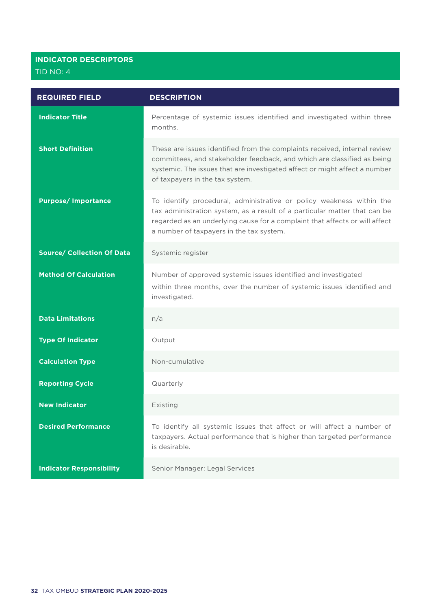| <b>REQUIRED FIELD</b>             | <b>DESCRIPTION</b>                                                                                                                                                                                                                                                           |
|-----------------------------------|------------------------------------------------------------------------------------------------------------------------------------------------------------------------------------------------------------------------------------------------------------------------------|
| <b>Indicator Title</b>            | Percentage of systemic issues identified and investigated within three<br>months.                                                                                                                                                                                            |
| <b>Short Definition</b>           | These are issues identified from the complaints received, internal review<br>committees, and stakeholder feedback, and which are classified as being<br>systemic. The issues that are investigated affect or might affect a number<br>of taxpayers in the tax system.        |
| <b>Purpose/Importance</b>         | To identify procedural, administrative or policy weakness within the<br>tax administration system, as a result of a particular matter that can be<br>regarded as an underlying cause for a complaint that affects or will affect<br>a number of taxpayers in the tax system. |
| <b>Source/ Collection Of Data</b> | Systemic register                                                                                                                                                                                                                                                            |
| <b>Method Of Calculation</b>      | Number of approved systemic issues identified and investigated<br>within three months, over the number of systemic issues identified and<br>investigated.                                                                                                                    |
| <b>Data Limitations</b>           | n/a                                                                                                                                                                                                                                                                          |
| <b>Type Of Indicator</b>          | Output                                                                                                                                                                                                                                                                       |
| <b>Calculation Type</b>           | Non-cumulative                                                                                                                                                                                                                                                               |
| <b>Reporting Cycle</b>            | Quarterly                                                                                                                                                                                                                                                                    |
| <b>New Indicator</b>              | Existing                                                                                                                                                                                                                                                                     |
| <b>Desired Performance</b>        | To identify all systemic issues that affect or will affect a number of<br>taxpayers. Actual performance that is higher than targeted performance<br>is desirable.                                                                                                            |
| <b>Indicator Responsibility</b>   | Senior Manager: Legal Services                                                                                                                                                                                                                                               |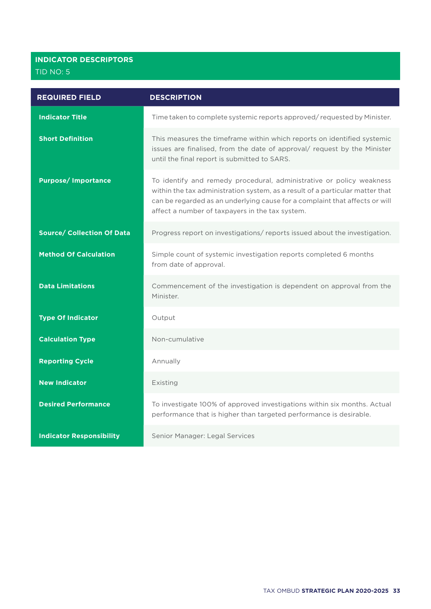| <b>REQUIRED FIELD</b>             | <b>DESCRIPTION</b>                                                                                                                                                                                                                                                                      |
|-----------------------------------|-----------------------------------------------------------------------------------------------------------------------------------------------------------------------------------------------------------------------------------------------------------------------------------------|
| <b>Indicator Title</b>            | Time taken to complete systemic reports approved/requested by Minister.                                                                                                                                                                                                                 |
| <b>Short Definition</b>           | This measures the timeframe within which reports on identified systemic<br>issues are finalised, from the date of approval/ request by the Minister<br>until the final report is submitted to SARS.                                                                                     |
| <b>Purpose/Importance</b>         | To identify and remedy procedural, administrative or policy weakness<br>within the tax administration system, as a result of a particular matter that<br>can be regarded as an underlying cause for a complaint that affects or will<br>affect a number of taxpayers in the tax system. |
| <b>Source/ Collection Of Data</b> | Progress report on investigations/reports issued about the investigation.                                                                                                                                                                                                               |
| <b>Method Of Calculation</b>      | Simple count of systemic investigation reports completed 6 months<br>from date of approval.                                                                                                                                                                                             |
| <b>Data Limitations</b>           | Commencement of the investigation is dependent on approval from the<br>Minister.                                                                                                                                                                                                        |
| <b>Type Of Indicator</b>          | Output                                                                                                                                                                                                                                                                                  |
| <b>Calculation Type</b>           | Non-cumulative                                                                                                                                                                                                                                                                          |
| <b>Reporting Cycle</b>            | Annually                                                                                                                                                                                                                                                                                |
| <b>New Indicator</b>              | Existing                                                                                                                                                                                                                                                                                |
| <b>Desired Performance</b>        | To investigate 100% of approved investigations within six months. Actual<br>performance that is higher than targeted performance is desirable.                                                                                                                                          |
| <b>Indicator Responsibility</b>   | Senior Manager: Legal Services                                                                                                                                                                                                                                                          |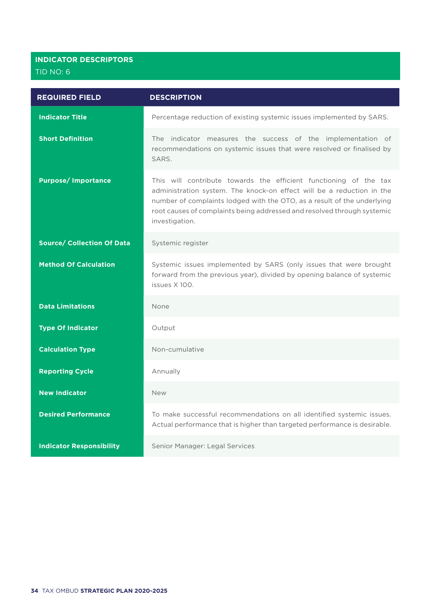| <b>REQUIRED FIELD</b>             | <b>DESCRIPTION</b>                                                                                                                                                                                                                                                                                                 |
|-----------------------------------|--------------------------------------------------------------------------------------------------------------------------------------------------------------------------------------------------------------------------------------------------------------------------------------------------------------------|
| <b>Indicator Title</b>            | Percentage reduction of existing systemic issues implemented by SARS.                                                                                                                                                                                                                                              |
| <b>Short Definition</b>           | The indicator measures the success of the implementation of<br>recommendations on systemic issues that were resolved or finalised by<br>SARS.                                                                                                                                                                      |
| <b>Purpose/Importance</b>         | This will contribute towards the efficient functioning of the tax<br>administration system. The knock-on effect will be a reduction in the<br>number of complaints lodged with the OTO, as a result of the underlying<br>root causes of complaints being addressed and resolved through systemic<br>investigation. |
| <b>Source/ Collection Of Data</b> | Systemic register                                                                                                                                                                                                                                                                                                  |
| <b>Method Of Calculation</b>      | Systemic issues implemented by SARS (only issues that were brought<br>forward from the previous year), divided by opening balance of systemic<br>issues X 100.                                                                                                                                                     |
| <b>Data Limitations</b>           | None                                                                                                                                                                                                                                                                                                               |
| <b>Type Of Indicator</b>          | Output                                                                                                                                                                                                                                                                                                             |
| <b>Calculation Type</b>           | Non-cumulative                                                                                                                                                                                                                                                                                                     |
| <b>Reporting Cycle</b>            | Annually                                                                                                                                                                                                                                                                                                           |
| <b>New Indicator</b>              | <b>New</b>                                                                                                                                                                                                                                                                                                         |
| <b>Desired Performance</b>        | To make successful recommendations on all identified systemic issues.<br>Actual performance that is higher than targeted performance is desirable.                                                                                                                                                                 |
| <b>Indicator Responsibility</b>   | Senior Manager: Legal Services                                                                                                                                                                                                                                                                                     |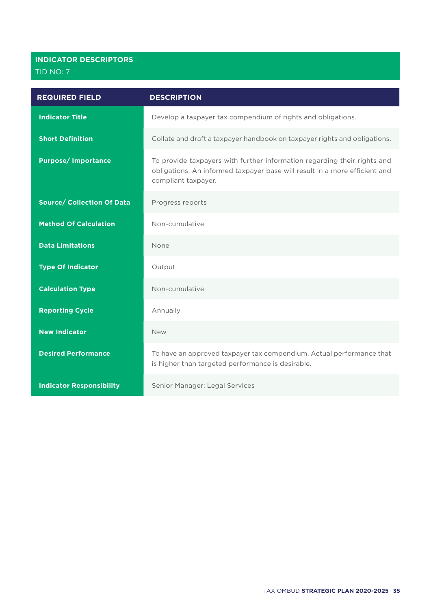| <b>REQUIRED FIELD</b>             | <b>DESCRIPTION</b>                                                                                                                                                            |
|-----------------------------------|-------------------------------------------------------------------------------------------------------------------------------------------------------------------------------|
| <b>Indicator Title</b>            | Develop a taxpayer tax compendium of rights and obligations.                                                                                                                  |
| <b>Short Definition</b>           | Collate and draft a taxpayer handbook on taxpayer rights and obligations.                                                                                                     |
| <b>Purpose/Importance</b>         | To provide taxpayers with further information regarding their rights and<br>obligations. An informed taxpayer base will result in a more efficient and<br>compliant taxpayer. |
| <b>Source/ Collection Of Data</b> | Progress reports                                                                                                                                                              |
| <b>Method Of Calculation</b>      | Non-cumulative                                                                                                                                                                |
| <b>Data Limitations</b>           | None                                                                                                                                                                          |
| <b>Type Of Indicator</b>          | Output                                                                                                                                                                        |
| <b>Calculation Type</b>           | Non-cumulative                                                                                                                                                                |
| <b>Reporting Cycle</b>            | Annually                                                                                                                                                                      |
| <b>New Indicator</b>              | <b>New</b>                                                                                                                                                                    |
| <b>Desired Performance</b>        | To have an approved taxpayer tax compendium. Actual performance that<br>is higher than targeted performance is desirable.                                                     |
| <b>Indicator Responsibility</b>   | Senior Manager: Legal Services                                                                                                                                                |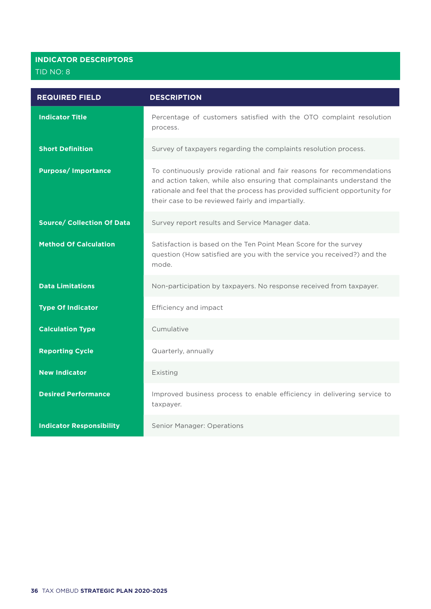| <b>REQUIRED FIELD</b>             | <b>DESCRIPTION</b>                                                                                                                                                                                                                                                                  |
|-----------------------------------|-------------------------------------------------------------------------------------------------------------------------------------------------------------------------------------------------------------------------------------------------------------------------------------|
| <b>Indicator Title</b>            | Percentage of customers satisfied with the OTO complaint resolution<br>process.                                                                                                                                                                                                     |
| <b>Short Definition</b>           | Survey of taxpayers regarding the complaints resolution process.                                                                                                                                                                                                                    |
| <b>Purpose/Importance</b>         | To continuously provide rational and fair reasons for recommendations<br>and action taken, while also ensuring that complainants understand the<br>rationale and feel that the process has provided sufficient opportunity for<br>their case to be reviewed fairly and impartially. |
| <b>Source/ Collection Of Data</b> | Survey report results and Service Manager data.                                                                                                                                                                                                                                     |
| <b>Method Of Calculation</b>      | Satisfaction is based on the Ten Point Mean Score for the survey<br>question (How satisfied are you with the service you received?) and the<br>mode.                                                                                                                                |
| <b>Data Limitations</b>           | Non-participation by taxpayers. No response received from taxpayer.                                                                                                                                                                                                                 |
| <b>Type Of Indicator</b>          | Efficiency and impact                                                                                                                                                                                                                                                               |
| <b>Calculation Type</b>           | Cumulative                                                                                                                                                                                                                                                                          |
| <b>Reporting Cycle</b>            | Quarterly, annually                                                                                                                                                                                                                                                                 |
| <b>New Indicator</b>              | Existing                                                                                                                                                                                                                                                                            |
| <b>Desired Performance</b>        | Improved business process to enable efficiency in delivering service to<br>taxpayer.                                                                                                                                                                                                |
| <b>Indicator Responsibility</b>   | <b>Senior Manager: Operations</b>                                                                                                                                                                                                                                                   |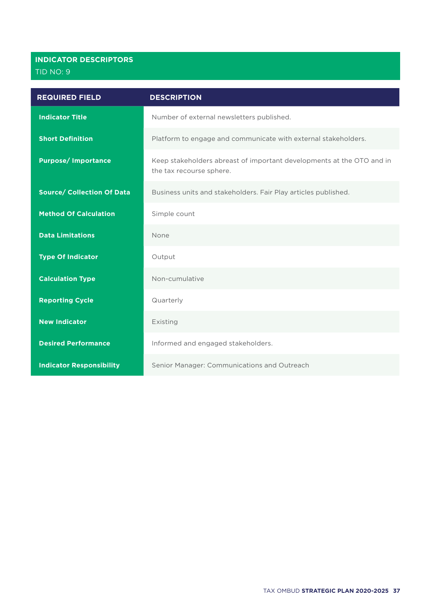| <b>REQUIRED FIELD</b>             | <b>DESCRIPTION</b>                                                                                |
|-----------------------------------|---------------------------------------------------------------------------------------------------|
| <b>Indicator Title</b>            | Number of external newsletters published.                                                         |
| <b>Short Definition</b>           | Platform to engage and communicate with external stakeholders.                                    |
| <b>Purpose/Importance</b>         | Keep stakeholders abreast of important developments at the OTO and in<br>the tax recourse sphere. |
| <b>Source/ Collection Of Data</b> | Business units and stakeholders. Fair Play articles published.                                    |
| <b>Method Of Calculation</b>      | Simple count                                                                                      |
| <b>Data Limitations</b>           | None                                                                                              |
| <b>Type Of Indicator</b>          | Output                                                                                            |
| <b>Calculation Type</b>           | Non-cumulative                                                                                    |
| <b>Reporting Cycle</b>            | Quarterly                                                                                         |
| <b>New Indicator</b>              | Existing                                                                                          |
| <b>Desired Performance</b>        | Informed and engaged stakeholders.                                                                |
| <b>Indicator Responsibility</b>   | Senior Manager: Communications and Outreach                                                       |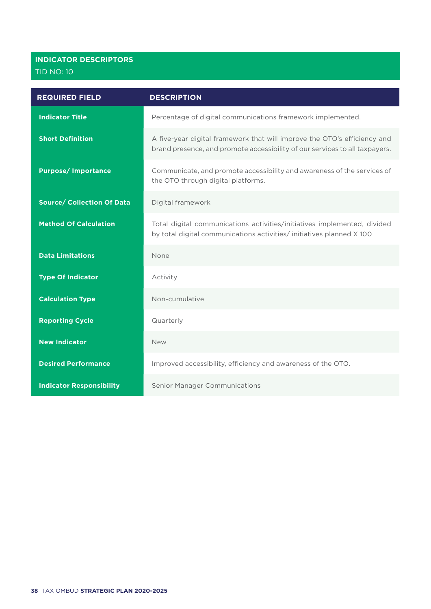| <b>REQUIRED FIELD</b>             | <b>DESCRIPTION</b>                                                                                                                                      |
|-----------------------------------|---------------------------------------------------------------------------------------------------------------------------------------------------------|
| <b>Indicator Title</b>            | Percentage of digital communications framework implemented.                                                                                             |
| <b>Short Definition</b>           | A five-year digital framework that will improve the OTO's efficiency and<br>brand presence, and promote accessibility of our services to all taxpayers. |
| <b>Purpose/Importance</b>         | Communicate, and promote accessibility and awareness of the services of<br>the OTO through digital platforms.                                           |
| <b>Source/ Collection Of Data</b> | Digital framework                                                                                                                                       |
| <b>Method Of Calculation</b>      | Total digital communications activities/initiatives implemented, divided<br>by total digital communications activities/initiatives planned X 100        |
| <b>Data Limitations</b>           | None                                                                                                                                                    |
| <b>Type Of Indicator</b>          | Activity                                                                                                                                                |
| <b>Calculation Type</b>           | Non-cumulative                                                                                                                                          |
| <b>Reporting Cycle</b>            | Quarterly                                                                                                                                               |
| <b>New Indicator</b>              | <b>New</b>                                                                                                                                              |
| <b>Desired Performance</b>        | Improved accessibility, efficiency and awareness of the OTO.                                                                                            |
| <b>Indicator Responsibility</b>   | <b>Senior Manager Communications</b>                                                                                                                    |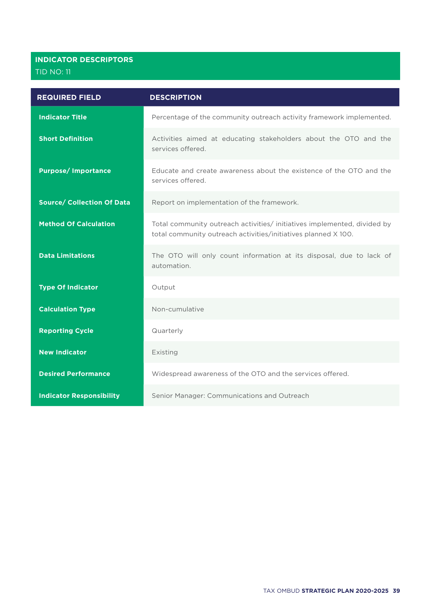| <b>REQUIRED FIELD</b>             | <b>DESCRIPTION</b>                                                                                                                         |
|-----------------------------------|--------------------------------------------------------------------------------------------------------------------------------------------|
| <b>Indicator Title</b>            | Percentage of the community outreach activity framework implemented.                                                                       |
| <b>Short Definition</b>           | Activities aimed at educating stakeholders about the OTO and the<br>services offered.                                                      |
| <b>Purpose/Importance</b>         | Educate and create awareness about the existence of the OTO and the<br>services offered.                                                   |
| <b>Source/ Collection Of Data</b> | Report on implementation of the framework.                                                                                                 |
| <b>Method Of Calculation</b>      | Total community outreach activities/ initiatives implemented, divided by<br>total community outreach activities/initiatives planned X 100. |
| <b>Data Limitations</b>           | The OTO will only count information at its disposal, due to lack of<br>automation.                                                         |
| <b>Type Of Indicator</b>          | Output                                                                                                                                     |
| <b>Calculation Type</b>           | Non-cumulative                                                                                                                             |
| <b>Reporting Cycle</b>            | Quarterly                                                                                                                                  |
| <b>New Indicator</b>              | Existing                                                                                                                                   |
| <b>Desired Performance</b>        | Widespread awareness of the OTO and the services offered.                                                                                  |
| <b>Indicator Responsibility</b>   | Senior Manager: Communications and Outreach                                                                                                |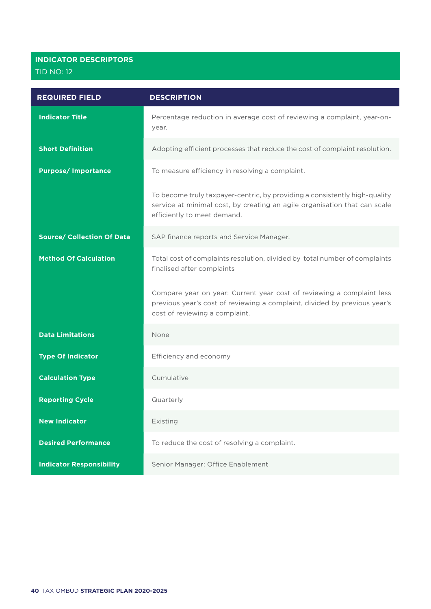## **INDICATOR DESCRIPTORS**

| <b>REQUIRED FIELD</b>             | <b>DESCRIPTION</b>                                                                                                                                                                     |
|-----------------------------------|----------------------------------------------------------------------------------------------------------------------------------------------------------------------------------------|
| <b>Indicator Title</b>            | Percentage reduction in average cost of reviewing a complaint, year-on-<br>year.                                                                                                       |
| <b>Short Definition</b>           | Adopting efficient processes that reduce the cost of complaint resolution.                                                                                                             |
| <b>Purpose/Importance</b>         | To measure efficiency in resolving a complaint.                                                                                                                                        |
|                                   | To become truly taxpayer-centric, by providing a consistently high-quality<br>service at minimal cost, by creating an agile organisation that can scale<br>efficiently to meet demand. |
| <b>Source/ Collection Of Data</b> | SAP finance reports and Service Manager.                                                                                                                                               |
| <b>Method Of Calculation</b>      | Total cost of complaints resolution, divided by total number of complaints<br>finalised after complaints                                                                               |
|                                   | Compare year on year: Current year cost of reviewing a complaint less<br>previous year's cost of reviewing a complaint, divided by previous year's<br>cost of reviewing a complaint.   |
| <b>Data Limitations</b>           | None                                                                                                                                                                                   |
| <b>Type Of Indicator</b>          | Efficiency and economy                                                                                                                                                                 |
| <b>Calculation Type</b>           | Cumulative                                                                                                                                                                             |
| <b>Reporting Cycle</b>            | Quarterly                                                                                                                                                                              |
| <b>New Indicator</b>              | Existing                                                                                                                                                                               |
| <b>Desired Performance</b>        | To reduce the cost of resolving a complaint.                                                                                                                                           |
| <b>Indicator Responsibility</b>   | Senior Manager: Office Enablement                                                                                                                                                      |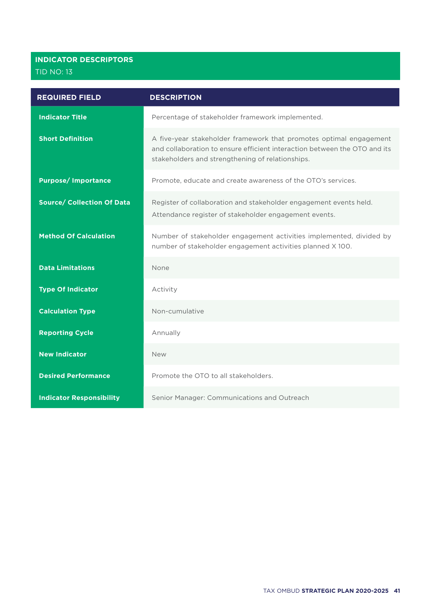| <b>REQUIRED FIELD</b>             | <b>DESCRIPTION</b>                                                                                                                                                                                  |
|-----------------------------------|-----------------------------------------------------------------------------------------------------------------------------------------------------------------------------------------------------|
| <b>Indicator Title</b>            | Percentage of stakeholder framework implemented.                                                                                                                                                    |
| <b>Short Definition</b>           | A five-year stakeholder framework that promotes optimal engagement<br>and collaboration to ensure efficient interaction between the OTO and its<br>stakeholders and strengthening of relationships. |
| <b>Purpose/Importance</b>         | Promote, educate and create awareness of the OTO's services.                                                                                                                                        |
| <b>Source/ Collection Of Data</b> | Register of collaboration and stakeholder engagement events held.<br>Attendance register of stakeholder engagement events.                                                                          |
| <b>Method Of Calculation</b>      | Number of stakeholder engagement activities implemented, divided by<br>number of stakeholder engagement activities planned X 100.                                                                   |
| <b>Data Limitations</b>           | None                                                                                                                                                                                                |
| <b>Type Of Indicator</b>          | Activity                                                                                                                                                                                            |
| <b>Calculation Type</b>           | Non-cumulative                                                                                                                                                                                      |
| <b>Reporting Cycle</b>            | Annually                                                                                                                                                                                            |
| <b>New Indicator</b>              | <b>New</b>                                                                                                                                                                                          |
| <b>Desired Performance</b>        | Promote the OTO to all stakeholders.                                                                                                                                                                |
| <b>Indicator Responsibility</b>   | Senior Manager: Communications and Outreach                                                                                                                                                         |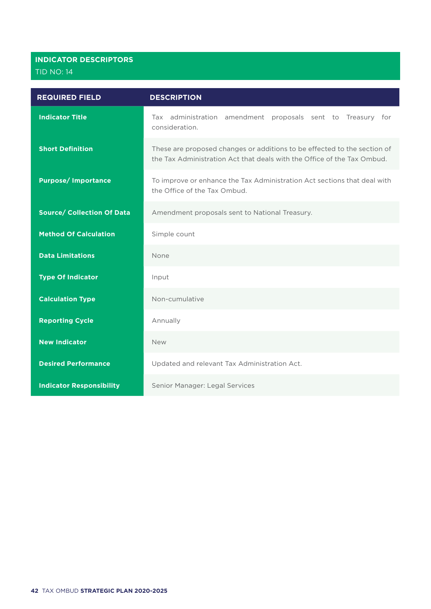## **INDICATOR DESCRIPTORS**

| <b>REQUIRED FIELD</b>             | <b>DESCRIPTION</b>                                                                                                                                  |
|-----------------------------------|-----------------------------------------------------------------------------------------------------------------------------------------------------|
| <b>Indicator Title</b>            | Tax administration amendment proposals sent to Treasury for<br>consideration.                                                                       |
| <b>Short Definition</b>           | These are proposed changes or additions to be effected to the section of<br>the Tax Administration Act that deals with the Office of the Tax Ombud. |
| <b>Purpose/Importance</b>         | To improve or enhance the Tax Administration Act sections that deal with<br>the Office of the Tax Ombud.                                            |
| <b>Source/ Collection Of Data</b> | Amendment proposals sent to National Treasury.                                                                                                      |
| <b>Method Of Calculation</b>      | Simple count                                                                                                                                        |
| <b>Data Limitations</b>           | None                                                                                                                                                |
| <b>Type Of Indicator</b>          | Input                                                                                                                                               |
| <b>Calculation Type</b>           | Non-cumulative                                                                                                                                      |
| <b>Reporting Cycle</b>            | Annually                                                                                                                                            |
| <b>New Indicator</b>              | <b>New</b>                                                                                                                                          |
| <b>Desired Performance</b>        | Updated and relevant Tax Administration Act.                                                                                                        |
| <b>Indicator Responsibility</b>   | Senior Manager: Legal Services                                                                                                                      |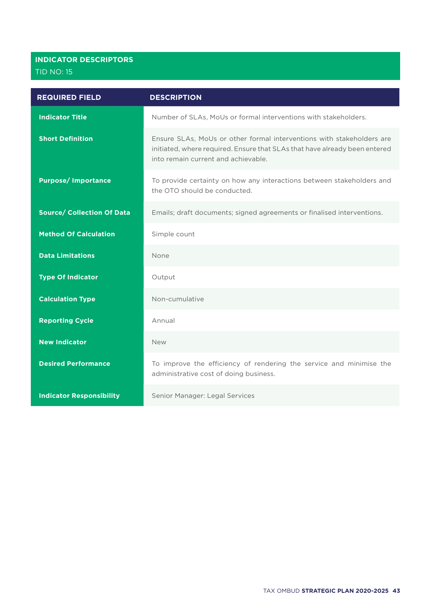## **INDICATOR DESCRIPTORS**

| <b>REQUIRED FIELD</b>             | <b>DESCRIPTION</b>                                                                                                                                                                         |
|-----------------------------------|--------------------------------------------------------------------------------------------------------------------------------------------------------------------------------------------|
| <b>Indicator Title</b>            | Number of SLAs, MoUs or formal interventions with stakeholders.                                                                                                                            |
| <b>Short Definition</b>           | Ensure SLAs, MoUs or other formal interventions with stakeholders are<br>initiated, where required. Ensure that SLAs that have already been entered<br>into remain current and achievable. |
| <b>Purpose/Importance</b>         | To provide certainty on how any interactions between stakeholders and<br>the OTO should be conducted.                                                                                      |
| <b>Source/ Collection Of Data</b> | Emails; draft documents; signed agreements or finalised interventions.                                                                                                                     |
| <b>Method Of Calculation</b>      | Simple count                                                                                                                                                                               |
| <b>Data Limitations</b>           | None                                                                                                                                                                                       |
| <b>Type Of Indicator</b>          | Output                                                                                                                                                                                     |
| <b>Calculation Type</b>           | Non-cumulative                                                                                                                                                                             |
| <b>Reporting Cycle</b>            | Annual                                                                                                                                                                                     |
| <b>New Indicator</b>              | New                                                                                                                                                                                        |
| <b>Desired Performance</b>        | To improve the efficiency of rendering the service and minimise the<br>administrative cost of doing business.                                                                              |
| <b>Indicator Responsibility</b>   | Senior Manager: Legal Services                                                                                                                                                             |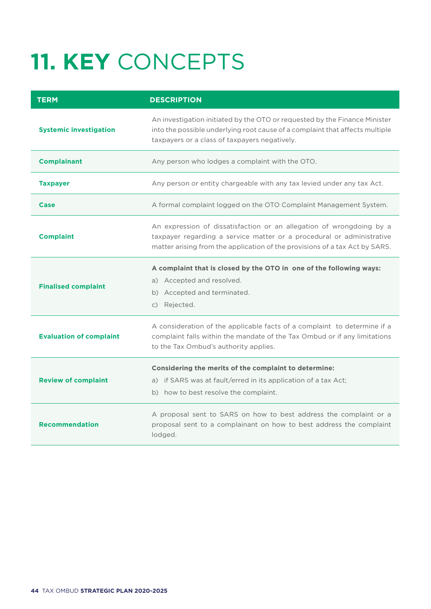# **11. KEY** CONCEPTS

| <b>TERM</b>                    | <b>DESCRIPTION</b>                                                                                                                                                                                                           |
|--------------------------------|------------------------------------------------------------------------------------------------------------------------------------------------------------------------------------------------------------------------------|
| <b>Systemic investigation</b>  | An investigation initiated by the OTO or requested by the Finance Minister<br>into the possible underlying root cause of a complaint that affects multiple<br>taxpayers or a class of taxpayers negatively.                  |
| <b>Complainant</b>             | Any person who lodges a complaint with the OTO.                                                                                                                                                                              |
| <b>Taxpayer</b>                | Any person or entity chargeable with any tax levied under any tax Act.                                                                                                                                                       |
| Case                           | A formal complaint logged on the OTO Complaint Management System.                                                                                                                                                            |
| <b>Complaint</b>               | An expression of dissatisfaction or an allegation of wrongdoing by a<br>taxpayer regarding a service matter or a procedural or administrative<br>matter arising from the application of the provisions of a tax Act by SARS. |
| <b>Finalised complaint</b>     | A complaint that is closed by the OTO in one of the following ways:<br>a) Accepted and resolved.<br>b) Accepted and terminated.<br>c) Rejected.                                                                              |
| <b>Evaluation of complaint</b> | A consideration of the applicable facts of a complaint to determine if a<br>complaint falls within the mandate of the Tax Ombud or if any limitations<br>to the Tax Ombud's authority applies.                               |
| <b>Review of complaint</b>     | Considering the merits of the complaint to determine:<br>a) if SARS was at fault/erred in its application of a tax Act;<br>b) how to best resolve the complaint.                                                             |
| <b>Recommendation</b>          | A proposal sent to SARS on how to best address the complaint or a<br>proposal sent to a complainant on how to best address the complaint<br>lodged.                                                                          |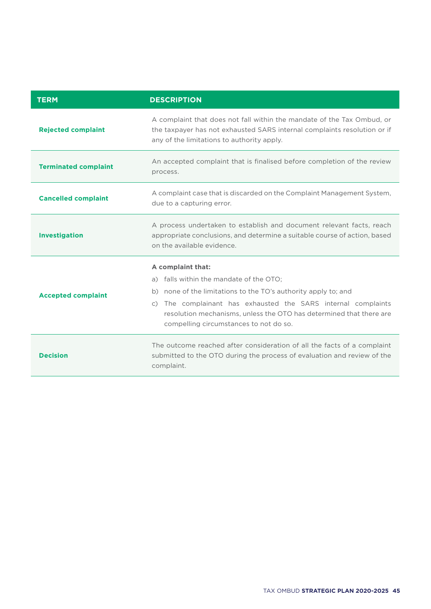| <b>TERM</b>                 | <b>DESCRIPTION</b>                                                                                                                                                                                                                                                                                               |
|-----------------------------|------------------------------------------------------------------------------------------------------------------------------------------------------------------------------------------------------------------------------------------------------------------------------------------------------------------|
| <b>Rejected complaint</b>   | A complaint that does not fall within the mandate of the Tax Ombud, or<br>the taxpayer has not exhausted SARS internal complaints resolution or if<br>any of the limitations to authority apply.                                                                                                                 |
| <b>Terminated complaint</b> | An accepted complaint that is finalised before completion of the review<br>process.                                                                                                                                                                                                                              |
| <b>Cancelled complaint</b>  | A complaint case that is discarded on the Complaint Management System,<br>due to a capturing error.                                                                                                                                                                                                              |
| <b>Investigation</b>        | A process undertaken to establish and document relevant facts, reach<br>appropriate conclusions, and determine a suitable course of action, based<br>on the available evidence.                                                                                                                                  |
| <b>Accepted complaint</b>   | A complaint that:<br>a) falls within the mandate of the OTO;<br>b) none of the limitations to the TO's authority apply to; and<br>c) The complainant has exhausted the SARS internal complaints<br>resolution mechanisms, unless the OTO has determined that there are<br>compelling circumstances to not do so. |
| <b>Decision</b>             | The outcome reached after consideration of all the facts of a complaint<br>submitted to the OTO during the process of evaluation and review of the<br>complaint.                                                                                                                                                 |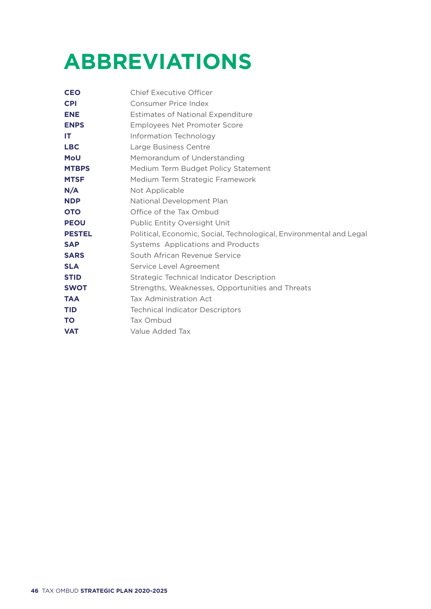# **ABBREVIATIONS**

| <b>CEO</b>    | <b>Chief Executive Officer</b>                                      |
|---------------|---------------------------------------------------------------------|
| <b>CPI</b>    | Consumer Price Index                                                |
| <b>ENE</b>    | <b>Estimates of National Expenditure</b>                            |
| <b>ENPS</b>   | <b>Employees Net Promoter Score</b>                                 |
| IΤ            | Information Technology                                              |
| <b>LBC</b>    | Large Business Centre                                               |
| <b>MoU</b>    | Memorandum of Understanding                                         |
| <b>MTBPS</b>  | Medium Term Budget Policy Statement                                 |
| <b>MTSF</b>   | Medium Term Strategic Framework                                     |
| N/A           | Not Applicable                                                      |
| <b>NDP</b>    | National Development Plan                                           |
| <b>OTO</b>    | Office of the Tax Ombud                                             |
| <b>PEOU</b>   | <b>Public Entity Oversight Unit</b>                                 |
| <b>PESTEL</b> | Political, Economic, Social, Technological, Environmental and Legal |
| <b>SAP</b>    | Systems Applications and Products                                   |
| <b>SARS</b>   | South African Revenue Service                                       |
| <b>SLA</b>    | Service Level Agreement                                             |
| <b>STID</b>   | <b>Strategic Technical Indicator Description</b>                    |
| <b>SWOT</b>   | Strengths, Weaknesses, Opportunities and Threats                    |
| <b>TAA</b>    | Tax Administration Act                                              |
| <b>TID</b>    | <b>Technical Indicator Descriptors</b>                              |
| TO I          | Tax Ombud                                                           |
| <b>VAT</b>    | Value Added Tax                                                     |
|               |                                                                     |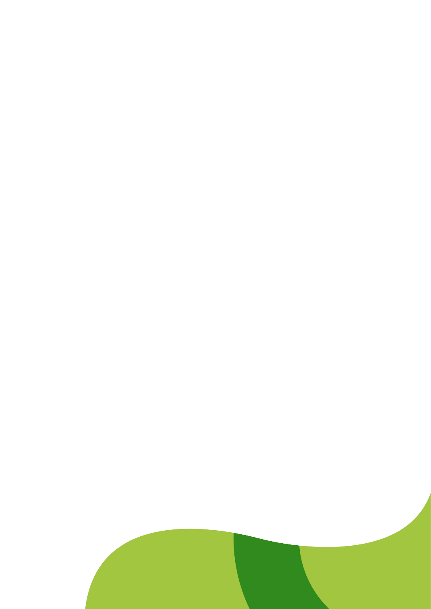